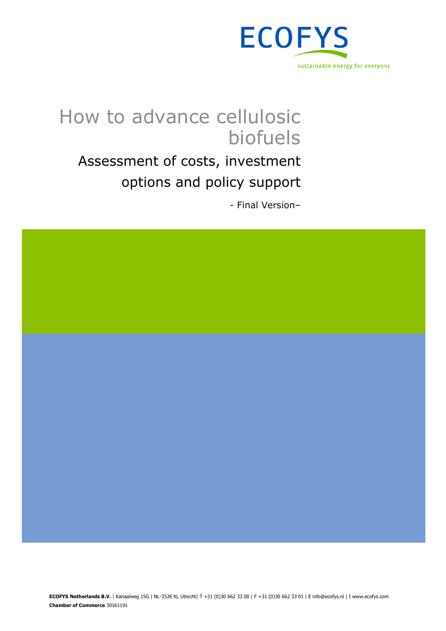

# How to advance cellulosic biofuels

Assessment of costs, investment options and policy support

- Final Version–

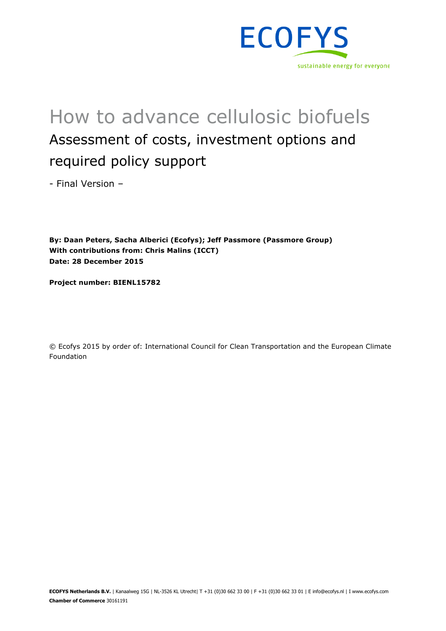

# How to advance cellulosic biofuels Assessment of costs, investment options and required policy support

- Final Version –

**By: Daan Peters, Sacha Alberici (Ecofys); Jeff Passmore (Passmore Group) With contributions from: Chris Malins (ICCT) Date: 28 December 2015**

**Project number: BIENL15782**

© Ecofys 2015 by order of: International Council for Clean Transportation and the European Climate Foundation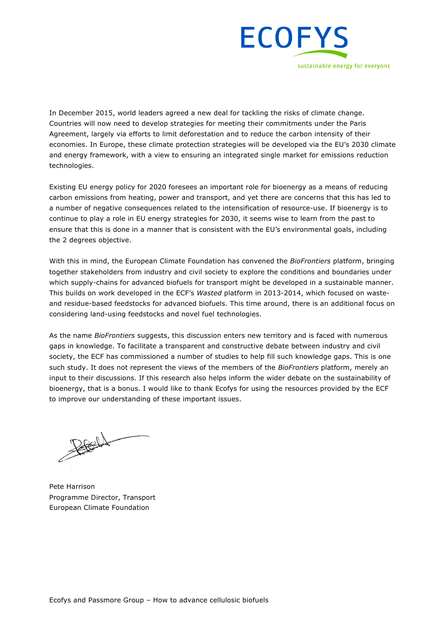

In December 2015, world leaders agreed a new deal for tackling the risks of climate change. Countries will now need to develop strategies for meeting their commitments under the Paris Agreement, largely via efforts to limit deforestation and to reduce the carbon intensity of their economies. In Europe, these climate protection strategies will be developed via the EU's 2030 climate and energy framework, with a view to ensuring an integrated single market for emissions reduction technologies.

Existing EU energy policy for 2020 foresees an important role for bioenergy as a means of reducing carbon emissions from heating, power and transport, and yet there are concerns that this has led to a number of negative consequences related to the intensification of resource-use. If bioenergy is to continue to play a role in EU energy strategies for 2030, it seems wise to learn from the past to ensure that this is done in a manner that is consistent with the EU's environmental goals, including the 2 degrees objective.

With this in mind, the European Climate Foundation has convened the *BioFrontiers* platform, bringing together stakeholders from industry and civil society to explore the conditions and boundaries under which supply-chains for advanced biofuels for transport might be developed in a sustainable manner. This builds on work developed in the ECF's *Wasted* platform in 2013-2014, which focused on wasteand residue-based feedstocks for advanced biofuels. This time around, there is an additional focus on considering land-using feedstocks and novel fuel technologies.

As the name *BioFrontiers* suggests, this discussion enters new territory and is faced with numerous gaps in knowledge. To facilitate a transparent and constructive debate between industry and civil society, the ECF has commissioned a number of studies to help fill such knowledge gaps. This is one such study. It does not represent the views of the members of the *BioFrontiers* platform, merely an input to their discussions. If this research also helps inform the wider debate on the sustainability of bioenergy, that is a bonus. I would like to thank Ecofys for using the resources provided by the ECF to improve our understanding of these important issues.

 $\frac{1}{\sqrt{2}}$ 

Pete Harrison Programme Director, Transport European Climate Foundation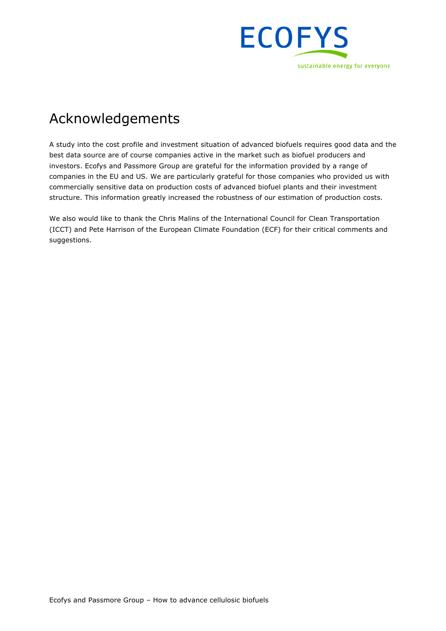

## Acknowledgements

A study into the cost profile and investment situation of advanced biofuels requires good data and the best data source are of course companies active in the market such as biofuel producers and investors. Ecofys and Passmore Group are grateful for the information provided by a range of companies in the EU and US. We are particularly grateful for those companies who provided us with commercially sensitive data on production costs of advanced biofuel plants and their investment structure. This information greatly increased the robustness of our estimation of production costs.

We also would like to thank the Chris Malins of the International Council for Clean Transportation (ICCT) and Pete Harrison of the European Climate Foundation (ECF) for their critical comments and suggestions.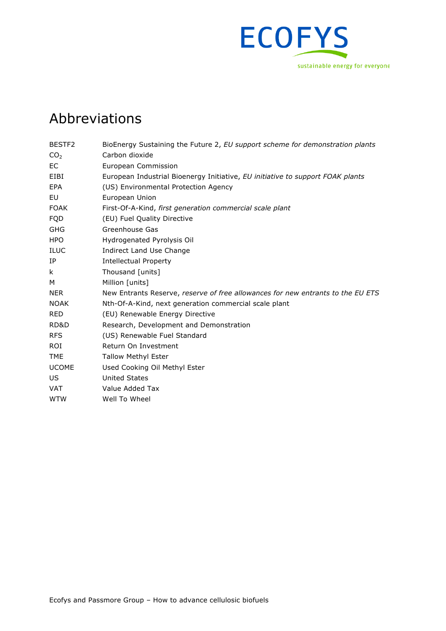

## Abbreviations

| BESTF <sub>2</sub> | BioEnergy Sustaining the Future 2, EU support scheme for demonstration plants   |
|--------------------|---------------------------------------------------------------------------------|
| CO <sub>2</sub>    | Carbon dioxide                                                                  |
| EC                 | European Commission                                                             |
| EIBI               | European Industrial Bioenergy Initiative, EU initiative to support FOAK plants  |
| EPA                | (US) Environmental Protection Agency                                            |
| EU                 | European Union                                                                  |
| <b>FOAK</b>        | First-Of-A-Kind, first generation commercial scale plant                        |
| <b>FQD</b>         | (EU) Fuel Quality Directive                                                     |
| <b>GHG</b>         | Greenhouse Gas                                                                  |
| <b>HPO</b>         | Hydrogenated Pyrolysis Oil                                                      |
| ILUC               | Indirect Land Use Change                                                        |
| IP                 | <b>Intellectual Property</b>                                                    |
| k                  | Thousand [units]                                                                |
| M                  | Million [units]                                                                 |
| <b>NER</b>         | New Entrants Reserve, reserve of free allowances for new entrants to the EU ETS |
| <b>NOAK</b>        | Nth-Of-A-Kind, next generation commercial scale plant                           |
| <b>RED</b>         | (EU) Renewable Energy Directive                                                 |
| RD&D               | Research, Development and Demonstration                                         |
| <b>RFS</b>         | (US) Renewable Fuel Standard                                                    |
| <b>ROI</b>         | Return On Investment                                                            |
| <b>TME</b>         | <b>Tallow Methyl Ester</b>                                                      |
| <b>UCOME</b>       | Used Cooking Oil Methyl Ester                                                   |
| US.                | <b>United States</b>                                                            |
| <b>VAT</b>         | Value Added Tax                                                                 |
| <b>WTW</b>         | Well To Wheel                                                                   |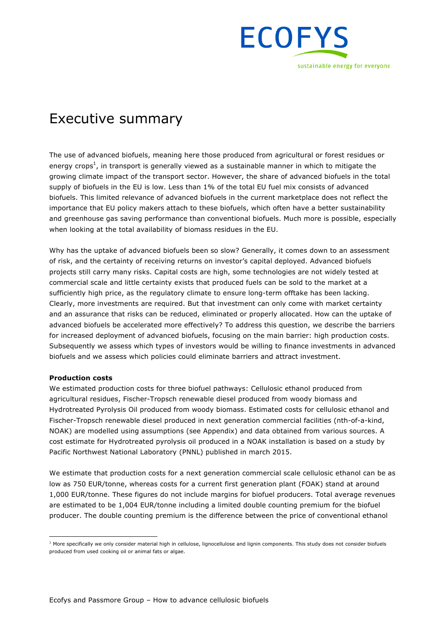

## Executive summary

The use of advanced biofuels, meaning here those produced from agricultural or forest residues or energy crops<sup>1</sup>, in transport is generally viewed as a sustainable manner in which to mitigate the growing climate impact of the transport sector. However, the share of advanced biofuels in the total supply of biofuels in the EU is low. Less than 1% of the total EU fuel mix consists of advanced biofuels. This limited relevance of advanced biofuels in the current marketplace does not reflect the importance that EU policy makers attach to these biofuels, which often have a better sustainability and greenhouse gas saving performance than conventional biofuels. Much more is possible, especially when looking at the total availability of biomass residues in the EU.

Why has the uptake of advanced biofuels been so slow? Generally, it comes down to an assessment of risk, and the certainty of receiving returns on investor's capital deployed. Advanced biofuels projects still carry many risks. Capital costs are high, some technologies are not widely tested at commercial scale and little certainty exists that produced fuels can be sold to the market at a sufficiently high price, as the regulatory climate to ensure long-term offtake has been lacking. Clearly, more investments are required. But that investment can only come with market certainty and an assurance that risks can be reduced, eliminated or properly allocated. How can the uptake of advanced biofuels be accelerated more effectively? To address this question, we describe the barriers for increased deployment of advanced biofuels, focusing on the main barrier: high production costs. Subsequently we assess which types of investors would be willing to finance investments in advanced biofuels and we assess which policies could eliminate barriers and attract investment.

#### **Production costs**

We estimated production costs for three biofuel pathways: Cellulosic ethanol produced from agricultural residues, Fischer-Tropsch renewable diesel produced from woody biomass and Hydrotreated Pyrolysis Oil produced from woody biomass. Estimated costs for cellulosic ethanol and Fischer-Tropsch renewable diesel produced in next generation commercial facilities (nth-of-a-kind, NOAK) are modelled using assumptions (see Appendix) and data obtained from various sources. A cost estimate for Hydrotreated pyrolysis oil produced in a NOAK installation is based on a study by Pacific Northwest National Laboratory (PNNL) published in march 2015.

We estimate that production costs for a next generation commercial scale cellulosic ethanol can be as low as 750 EUR/tonne, whereas costs for a current first generation plant (FOAK) stand at around 1,000 EUR/tonne. These figures do not include margins for biofuel producers. Total average revenues are estimated to be 1,004 EUR/tonne including a limited double counting premium for the biofuel producer. The double counting premium is the difference between the price of conventional ethanol

 $1$  More specifically we only consider material high in cellulose, lignocellulose and lignin components. This study does not consider biofuels produced from used cooking oil or animal fats or algae.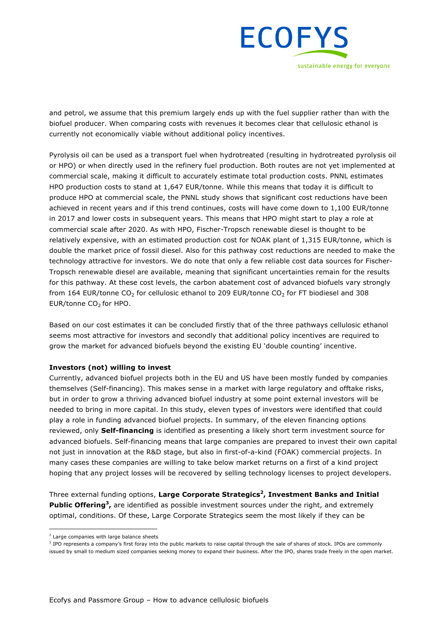

and petrol, we assume that this premium largely ends up with the fuel supplier rather than with the biofuel producer. When comparing costs with revenues it becomes clear that cellulosic ethanol is currently not economically viable without additional policy incentives.

Pyrolysis oil can be used as a transport fuel when hydrotreated (resulting in hydrotreated pyrolysis oil or HPO) or when directly used in the refinery fuel production. Both routes are not yet implemented at commercial scale, making it difficult to accurately estimate total production costs. PNNL estimates HPO production costs to stand at 1,647 EUR/tonne. While this means that today it is difficult to produce HPO at commercial scale, the PNNL study shows that significant cost reductions have been achieved in recent years and if this trend continues, costs will have come down to 1,100 EUR/tonne in 2017 and lower costs in subsequent years. This means that HPO might start to play a role at commercial scale after 2020. As with HPO, Fischer-Tropsch renewable diesel is thought to be relatively expensive, with an estimated production cost for NOAK plant of 1,315 EUR/tonne, which is double the market price of fossil diesel. Also for this pathway cost reductions are needed to make the technology attractive for investors. We do note that only a few reliable cost data sources for Fischer-Tropsch renewable diesel are available, meaning that significant uncertainties remain for the results for this pathway. At these cost levels, the carbon abatement cost of advanced biofuels vary strongly from 164 EUR/tonne  $CO_2$  for cellulosic ethanol to 209 EUR/tonne  $CO_2$  for FT biodiesel and 308 EUR/tonne CO<sub>2</sub> for HPO.

Based on our cost estimates it can be concluded firstly that of the three pathways cellulosic ethanol seems most attractive for investors and secondly that additional policy incentives are required to grow the market for advanced biofuels beyond the existing EU 'double counting' incentive.

#### **Investors (not) willing to invest**

Currently, advanced biofuel projects both in the EU and US have been mostly funded by companies themselves (Self-financing). This makes sense in a market with large regulatory and offtake risks, but in order to grow a thriving advanced biofuel industry at some point external investors will be needed to bring in more capital. In this study, eleven types of investors were identified that could play a role in funding advanced biofuel projects. In summary, of the eleven financing options reviewed, only **Self-financing** is identified as presenting a likely short term investment source for advanced biofuels. Self-financing means that large companies are prepared to invest their own capital not just in innovation at the R&D stage, but also in first-of-a-kind (FOAK) commercial projects. In many cases these companies are willing to take below market returns on a first of a kind project hoping that any project losses will be recovered by selling technology licenses to project developers.

Three external funding options, **Large Corporate Strategics2, Investment Banks and Initial Public Offering3,** are identified as possible investment sources under the right, and extremely optimal, conditions. Of these, Large Corporate Strategics seem the most likely if they can be

 $2$  Large companies with large balance sheets

<sup>&</sup>lt;sup>3</sup> IPO represents a company's first foray into the public markets to raise capital through the sale of shares of stock. IPOs are commonly issued by small to medium sized companies seeking money to expand their business. After the IPO, shares trade freely in the open market.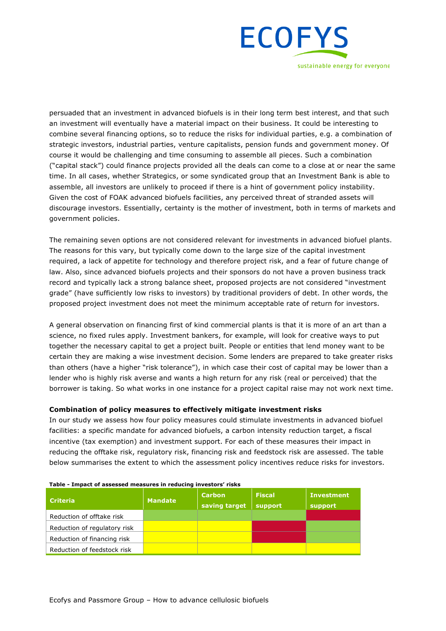

persuaded that an investment in advanced biofuels is in their long term best interest, and that such an investment will eventually have a material impact on their business. It could be interesting to combine several financing options, so to reduce the risks for individual parties, e.g. a combination of strategic investors, industrial parties, venture capitalists, pension funds and government money. Of course it would be challenging and time consuming to assemble all pieces. Such a combination ("capital stack") could finance projects provided all the deals can come to a close at or near the same time. In all cases, whether Strategics, or some syndicated group that an Investment Bank is able to assemble, all investors are unlikely to proceed if there is a hint of government policy instability. Given the cost of FOAK advanced biofuels facilities, any perceived threat of stranded assets will discourage investors. Essentially, certainty is the mother of investment, both in terms of markets and government policies.

The remaining seven options are not considered relevant for investments in advanced biofuel plants. The reasons for this vary, but typically come down to the large size of the capital investment required, a lack of appetite for technology and therefore project risk, and a fear of future change of law. Also, since advanced biofuels projects and their sponsors do not have a proven business track record and typically lack a strong balance sheet, proposed projects are not considered "investment grade" (have sufficiently low risks to investors) by traditional providers of debt. In other words, the proposed project investment does not meet the minimum acceptable rate of return for investors.

A general observation on financing first of kind commercial plants is that it is more of an art than a science, no fixed rules apply. Investment bankers, for example, will look for creative ways to put together the necessary capital to get a project built. People or entities that lend money want to be certain they are making a wise investment decision. Some lenders are prepared to take greater risks than others (have a higher "risk tolerance"), in which case their cost of capital may be lower than a lender who is highly risk averse and wants a high return for any risk (real or perceived) that the borrower is taking. So what works in one instance for a project capital raise may not work next time.

#### **Combination of policy measures to effectively mitigate investment risks**

In our study we assess how four policy measures could stimulate investments in advanced biofuel facilities: a specific mandate for advanced biofuels, a carbon intensity reduction target, a fiscal incentive (tax exemption) and investment support. For each of these measures their impact in reducing the offtake risk, regulatory risk, financing risk and feedstock risk are assessed. The table below summarises the extent to which the assessment policy incentives reduce risks for investors.

| <b>Criteria</b>              | <b>Mandate</b> | <b>Carbon</b><br>saving target | <b>Fiscal</b><br>support | <b>Investment</b><br>support |
|------------------------------|----------------|--------------------------------|--------------------------|------------------------------|
| Reduction of offtake risk    |                |                                |                          |                              |
| Reduction of regulatory risk |                |                                |                          |                              |
| Reduction of financing risk  |                |                                |                          |                              |
| Reduction of feedstock risk  |                |                                |                          |                              |

#### **Table - Impact of assessed measures in reducing investors' risks**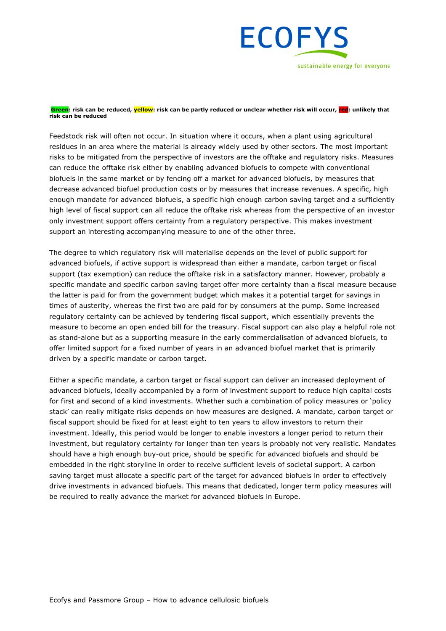

**Green: risk can be reduced, yellow: risk can be partly reduced or unclear whether risk will occur, red: unlikely that risk can be reduced**

Feedstock risk will often not occur. In situation where it occurs, when a plant using agricultural residues in an area where the material is already widely used by other sectors. The most important risks to be mitigated from the perspective of investors are the offtake and regulatory risks. Measures can reduce the offtake risk either by enabling advanced biofuels to compete with conventional biofuels in the same market or by fencing off a market for advanced biofuels, by measures that decrease advanced biofuel production costs or by measures that increase revenues. A specific, high enough mandate for advanced biofuels, a specific high enough carbon saving target and a sufficiently high level of fiscal support can all reduce the offtake risk whereas from the perspective of an investor only investment support offers certainty from a regulatory perspective. This makes investment support an interesting accompanying measure to one of the other three.

The degree to which regulatory risk will materialise depends on the level of public support for advanced biofuels, if active support is widespread than either a mandate, carbon target or fiscal support (tax exemption) can reduce the offtake risk in a satisfactory manner. However, probably a specific mandate and specific carbon saving target offer more certainty than a fiscal measure because the latter is paid for from the government budget which makes it a potential target for savings in times of austerity, whereas the first two are paid for by consumers at the pump. Some increased regulatory certainty can be achieved by tendering fiscal support, which essentially prevents the measure to become an open ended bill for the treasury. Fiscal support can also play a helpful role not as stand-alone but as a supporting measure in the early commercialisation of advanced biofuels, to offer limited support for a fixed number of years in an advanced biofuel market that is primarily driven by a specific mandate or carbon target.

Either a specific mandate, a carbon target or fiscal support can deliver an increased deployment of advanced biofuels, ideally accompanied by a form of investment support to reduce high capital costs for first and second of a kind investments. Whether such a combination of policy measures or 'policy stack' can really mitigate risks depends on how measures are designed. A mandate, carbon target or fiscal support should be fixed for at least eight to ten years to allow investors to return their investment. Ideally, this period would be longer to enable investors a longer period to return their investment, but regulatory certainty for longer than ten years is probably not very realistic. Mandates should have a high enough buy-out price, should be specific for advanced biofuels and should be embedded in the right storyline in order to receive sufficient levels of societal support. A carbon saving target must allocate a specific part of the target for advanced biofuels in order to effectively drive investments in advanced biofuels. This means that dedicated, longer term policy measures will be required to really advance the market for advanced biofuels in Europe.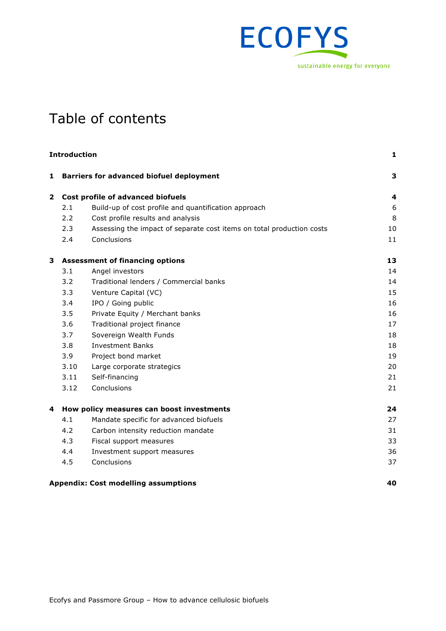

## Table of contents

|              | <b>Introduction</b> |                                                                       |    |
|--------------|---------------------|-----------------------------------------------------------------------|----|
| $\mathbf{1}$ |                     | <b>Barriers for advanced biofuel deployment</b>                       | 3  |
| $\mathbf{2}$ |                     | Cost profile of advanced biofuels                                     | 4  |
|              | 2.1                 | Build-up of cost profile and quantification approach                  | 6  |
|              | 2.2                 | Cost profile results and analysis                                     | 8  |
|              | 2.3                 | Assessing the impact of separate cost items on total production costs | 10 |
|              | 2.4                 | Conclusions                                                           | 11 |
| 3            |                     | <b>Assessment of financing options</b>                                | 13 |
|              | 3.1                 | Angel investors                                                       | 14 |
|              | 3.2                 | Traditional lenders / Commercial banks                                | 14 |
|              | 3.3                 | Venture Capital (VC)                                                  | 15 |
|              | 3.4                 | IPO / Going public                                                    | 16 |
|              | 3.5                 | Private Equity / Merchant banks                                       | 16 |
|              | 3.6                 | Traditional project finance                                           | 17 |
|              | 3.7                 | Sovereign Wealth Funds                                                | 18 |
|              | 3.8                 | <b>Investment Banks</b>                                               | 18 |
|              | 3.9                 | Project bond market                                                   | 19 |
|              | 3.10                | Large corporate strategics                                            | 20 |
|              | 3.11                | Self-financing                                                        | 21 |
|              | 3.12                | Conclusions                                                           | 21 |
| 4            |                     | How policy measures can boost investments                             | 24 |
|              | 4.1                 | Mandate specific for advanced biofuels                                | 27 |
|              | 4.2                 | Carbon intensity reduction mandate                                    | 31 |
|              | 4.3                 | Fiscal support measures                                               | 33 |
|              | 4.4                 | Investment support measures                                           | 36 |
|              | 4.5                 | Conclusions                                                           | 37 |
|              |                     | <b>Appendix: Cost modelling assumptions</b>                           | 40 |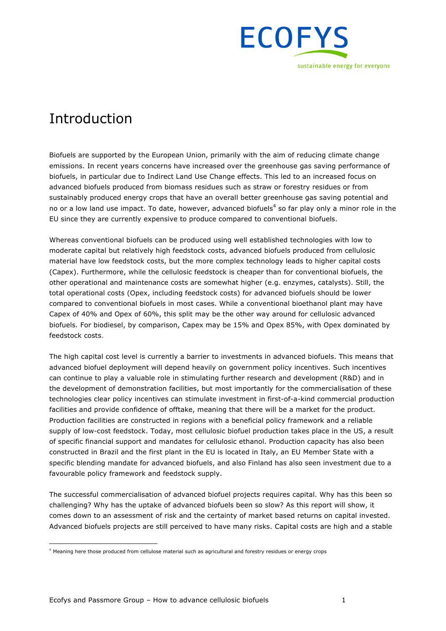

## Introduction

Biofuels are supported by the European Union, primarily with the aim of reducing climate change emissions. In recent years concerns have increased over the greenhouse gas saving performance of biofuels, in particular due to Indirect Land Use Change effects. This led to an increased focus on advanced biofuels produced from biomass residues such as straw or forestry residues or from sustainably produced energy crops that have an overall better greenhouse gas saving potential and no or a low land use impact. To date, however, advanced biofuels<sup>4</sup> so far play only a minor role in the EU since they are currently expensive to produce compared to conventional biofuels.

Whereas conventional biofuels can be produced using well established technologies with low to moderate capital but relatively high feedstock costs, advanced biofuels produced from cellulosic material have low feedstock costs, but the more complex technology leads to higher capital costs (Capex). Furthermore, while the cellulosic feedstock is cheaper than for conventional biofuels, the other operational and maintenance costs are somewhat higher (e.g. enzymes, catalysts). Still, the total operational costs (Opex, including feedstock costs) for advanced biofuels should be lower compared to conventional biofuels in most cases. While a conventional bioethanol plant may have Capex of 40% and Opex of 60%, this split may be the other way around for cellulosic advanced biofuels. For biodiesel, by comparison, Capex may be 15% and Opex 85%, with Opex dominated by feedstock costs.

The high capital cost level is currently a barrier to investments in advanced biofuels. This means that advanced biofuel deployment will depend heavily on government policy incentives. Such incentives can continue to play a valuable role in stimulating further research and development (R&D) and in the development of demonstration facilities, but most importantly for the commercialisation of these technologies clear policy incentives can stimulate investment in first-of-a-kind commercial production facilities and provide confidence of offtake, meaning that there will be a market for the product. Production facilities are constructed in regions with a beneficial policy framework and a reliable supply of low-cost feedstock. Today, most cellulosic biofuel production takes place in the US, a result of specific financial support and mandates for cellulosic ethanol. Production capacity has also been constructed in Brazil and the first plant in the EU is located in Italy, an EU Member State with a specific blending mandate for advanced biofuels, and also Finland has also seen investment due to a favourable policy framework and feedstock supply.

The successful commercialisation of advanced biofuel projects requires capital. Why has this been so challenging? Why has the uptake of advanced biofuels been so slow? As this report will show, it comes down to an assessment of risk and the certainty of market based returns on capital invested. Advanced biofuels projects are still perceived to have many risks. Capital costs are high and a stable

<sup>&</sup>lt;sup>4</sup> Meaning here those produced from cellulose material such as agricultural and forestry residues or energy crops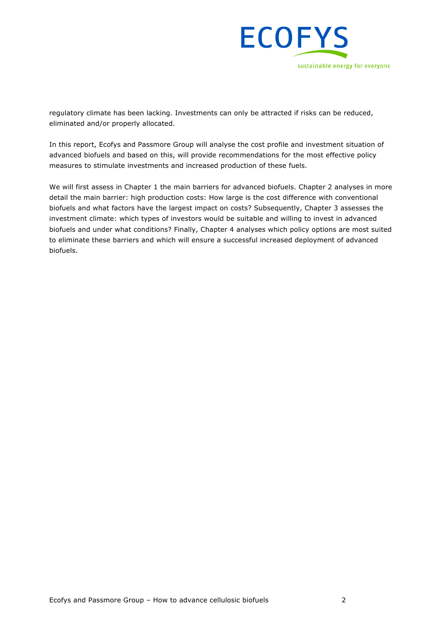

regulatory climate has been lacking. Investments can only be attracted if risks can be reduced, eliminated and/or properly allocated.

In this report, Ecofys and Passmore Group will analyse the cost profile and investment situation of advanced biofuels and based on this, will provide recommendations for the most effective policy measures to stimulate investments and increased production of these fuels.

We will first assess in Chapter 1 the main barriers for advanced biofuels. Chapter 2 analyses in more detail the main barrier: high production costs: How large is the cost difference with conventional biofuels and what factors have the largest impact on costs? Subsequently, Chapter 3 assesses the investment climate: which types of investors would be suitable and willing to invest in advanced biofuels and under what conditions? Finally, Chapter 4 analyses which policy options are most suited to eliminate these barriers and which will ensure a successful increased deployment of advanced biofuels.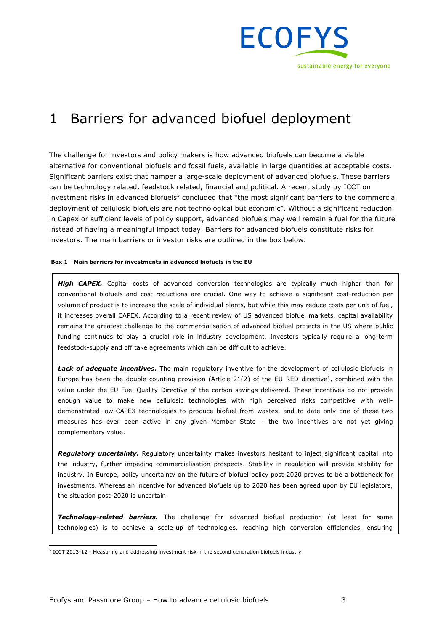

## 1 Barriers for advanced biofuel deployment

The challenge for investors and policy makers is how advanced biofuels can become a viable alternative for conventional biofuels and fossil fuels, available in large quantities at acceptable costs. Significant barriers exist that hamper a large-scale deployment of advanced biofuels. These barriers can be technology related, feedstock related, financial and political. A recent study by ICCT on investment risks in advanced biofuels<sup>5</sup> concluded that "the most significant barriers to the commercial deployment of cellulosic biofuels are not technological but economic". Without a significant reduction in Capex or sufficient levels of policy support, advanced biofuels may well remain a fuel for the future instead of having a meaningful impact today. Barriers for advanced biofuels constitute risks for investors. The main barriers or investor risks are outlined in the box below.

#### **Box 1 - Main barriers for investments in advanced biofuels in the EU**

*High CAPEX.* Capital costs of advanced conversion technologies are typically much higher than for conventional biofuels and cost reductions are crucial. One way to achieve a significant cost-reduction per volume of product is to increase the scale of individual plants, but while this may reduce costs per unit of fuel, it increases overall CAPEX. According to a recent review of US advanced biofuel markets, capital availability remains the greatest challenge to the commercialisation of advanced biofuel projects in the US where public funding continues to play a crucial role in industry development. Investors typically require a long-term feedstock-supply and off take agreements which can be difficult to achieve.

Lack of adequate incentives. The main regulatory inventive for the development of cellulosic biofuels in Europe has been the double counting provision (Article 21(2) of the EU RED directive), combined with the value under the EU Fuel Quality Directive of the carbon savings delivered. These incentives do not provide enough value to make new cellulosic technologies with high perceived risks competitive with welldemonstrated low-CAPEX technologies to produce biofuel from wastes, and to date only one of these two measures has ever been active in any given Member State – the two incentives are not yet giving complementary value.

*Regulatory uncertainty.* Regulatory uncertainty makes investors hesitant to inject significant capital into the industry, further impeding commercialisation prospects. Stability in regulation will provide stability for industry. In Europe, policy uncertainty on the future of biofuel policy post-2020 proves to be a bottleneck for investments. Whereas an incentive for advanced biofuels up to 2020 has been agreed upon by EU legislators, the situation post-2020 is uncertain.

*Technology-related barriers.* The challenge for advanced biofuel production (at least for some technologies) is to achieve a scale-up of technologies, reaching high conversion efficiencies, ensuring

 <sup>5</sup> ICCT 2013-12 - Measuring and addressing investment risk in the second generation biofuels industry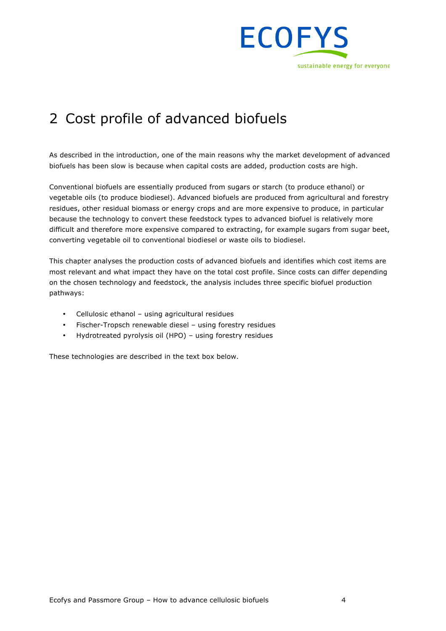

## 2 Cost profile of advanced biofuels

As described in the introduction, one of the main reasons why the market development of advanced biofuels has been slow is because when capital costs are added, production costs are high.

Conventional biofuels are essentially produced from sugars or starch (to produce ethanol) or vegetable oils (to produce biodiesel). Advanced biofuels are produced from agricultural and forestry residues, other residual biomass or energy crops and are more expensive to produce, in particular because the technology to convert these feedstock types to advanced biofuel is relatively more difficult and therefore more expensive compared to extracting, for example sugars from sugar beet, converting vegetable oil to conventional biodiesel or waste oils to biodiesel.

This chapter analyses the production costs of advanced biofuels and identifies which cost items are most relevant and what impact they have on the total cost profile. Since costs can differ depending on the chosen technology and feedstock, the analysis includes three specific biofuel production pathways:

- Cellulosic ethanol using agricultural residues
- Fischer-Tropsch renewable diesel using forestry residues
- Hydrotreated pyrolysis oil (HPO) using forestry residues

These technologies are described in the text box below.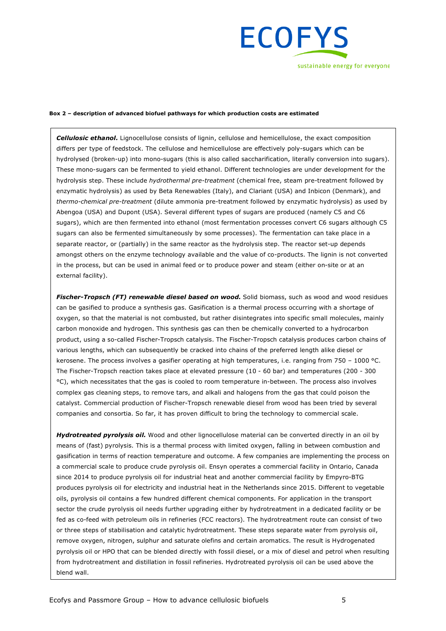

#### **Box 2 – description of advanced biofuel pathways for which production costs are estimated**

**Cellulosic ethanol.** Lignocellulose consists of lignin, cellulose and hemicellulose, the exact composition differs per type of feedstock. The cellulose and hemicellulose are effectively poly-sugars which can be hydrolysed (broken-up) into mono-sugars (this is also called saccharification, literally conversion into sugars). These mono-sugars can be fermented to yield ethanol. Different technologies are under development for the hydrolysis step. These include *hydrothermal pre-treatment* (chemical free, steam pre-treatment followed by enzymatic hydrolysis) as used by Beta Renewables (Italy), and Clariant (USA) and Inbicon (Denmark), and *thermo-chemical pre-treatment* (dilute ammonia pre-treatment followed by enzymatic hydrolysis) as used by Abengoa (USA) and Dupont (USA). Several different types of sugars are produced (namely C5 and C6 sugars), which are then fermented into ethanol (most fermentation processes convert C6 sugars although C5 sugars can also be fermented simultaneously by some processes). The fermentation can take place in a separate reactor, or (partially) in the same reactor as the hydrolysis step. The reactor set-up depends amongst others on the enzyme technology available and the value of co-products. The lignin is not converted in the process, but can be used in animal feed or to produce power and steam (either on-site or at an external facility).

*Fischer-Tropsch (FT) renewable diesel based on wood.* Solid biomass, such as wood and wood residues can be gasified to produce a synthesis gas. Gasification is a thermal process occurring with a shortage of oxygen, so that the material is not combusted, but rather disintegrates into specific small molecules, mainly carbon monoxide and hydrogen. This synthesis gas can then be chemically converted to a hydrocarbon product, using a so-called Fischer-Tropsch catalysis. The Fischer-Tropsch catalysis produces carbon chains of various lengths, which can subsequently be cracked into chains of the preferred length alike diesel or kerosene. The process involves a gasifier operating at high temperatures, i.e. ranging from 750 - 1000 °C. The Fischer-Tropsch reaction takes place at elevated pressure (10 - 60 bar) and temperatures (200 - 300 °C), which necessitates that the gas is cooled to room temperature in-between. The process also involves complex gas cleaning steps, to remove tars, and alkali and halogens from the gas that could poison the catalyst. Commercial production of Fischer-Tropsch renewable diesel from wood has been tried by several companies and consortia. So far, it has proven difficult to bring the technology to commercial scale.

Hydrotreated pyrolysis oil. Wood and other lignocellulose material can be converted directly in an oil by means of (fast) pyrolysis. This is a thermal process with limited oxygen, falling in between combustion and gasification in terms of reaction temperature and outcome. A few companies are implementing the process on a commercial scale to produce crude pyrolysis oil. Ensyn operates a commercial facility in Ontario, Canada since 2014 to produce pyrolysis oil for industrial heat and another commercial facility by Empyro-BTG produces pyrolysis oil for electricity and industrial heat in the Netherlands since 2015. Different to vegetable oils, pyrolysis oil contains a few hundred different chemical components. For application in the transport sector the crude pyrolysis oil needs further upgrading either by hydrotreatment in a dedicated facility or be fed as co-feed with petroleum oils in refineries (FCC reactors). The hydrotreatment route can consist of two or three steps of stabilisation and catalytic hydrotreatment. These steps separate water from pyrolysis oil, remove oxygen, nitrogen, sulphur and saturate olefins and certain aromatics. The result is Hydrogenated pyrolysis oil or HPO that can be blended directly with fossil diesel, or a mix of diesel and petrol when resulting from hydrotreatment and distillation in fossil refineries. Hydrotreated pyrolysis oil can be used above the blend wall.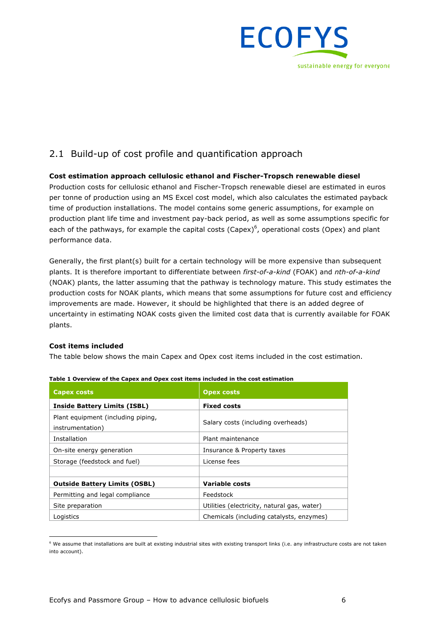

## 2.1 Build-up of cost profile and quantification approach

#### **Cost estimation approach cellulosic ethanol and Fischer-Tropsch renewable diesel**

Production costs for cellulosic ethanol and Fischer-Tropsch renewable diesel are estimated in euros per tonne of production using an MS Excel cost model, which also calculates the estimated payback time of production installations. The model contains some generic assumptions, for example on production plant life time and investment pay-back period, as well as some assumptions specific for each of the pathways, for example the capital costs (Capex)<sup>6</sup>, operational costs (Opex) and plant performance data.

Generally, the first plant(s) built for a certain technology will be more expensive than subsequent plants. It is therefore important to differentiate between *first-of-a-kind* (FOAK) and *nth-of-a-kind* (NOAK) plants, the latter assuming that the pathway is technology mature. This study estimates the production costs for NOAK plants, which means that some assumptions for future cost and efficiency improvements are made. However, it should be highlighted that there is an added degree of uncertainty in estimating NOAK costs given the limited cost data that is currently available for FOAK plants.

#### **Cost items included**

The table below shows the main Capex and Opex cost items included in the cost estimation.

| Capex costs                                            | <b>Opex costs</b>                           |  |
|--------------------------------------------------------|---------------------------------------------|--|
| <b>Inside Battery Limits (ISBL)</b>                    | <b>Fixed costs</b>                          |  |
| Plant equipment (including piping,<br>instrumentation) | Salary costs (including overheads)          |  |
| Installation                                           | Plant maintenance                           |  |
| On-site energy generation                              | Insurance & Property taxes                  |  |
| Storage (feedstock and fuel)                           | License fees                                |  |
|                                                        |                                             |  |
| <b>Outside Battery Limits (OSBL)</b>                   | Variable costs                              |  |
| Permitting and legal compliance                        | Feedstock                                   |  |
| Site preparation                                       | Utilities (electricity, natural gas, water) |  |
| Logistics                                              | Chemicals (including catalysts, enzymes)    |  |

| Table 1 Overview of the Capex and Opex cost items included in the cost estimation |  |  |  |  |  |  |
|-----------------------------------------------------------------------------------|--|--|--|--|--|--|
|                                                                                   |  |  |  |  |  |  |

 $6$  We assume that installations are built at existing industrial sites with existing transport links (i.e. any infrastructure costs are not taken into account).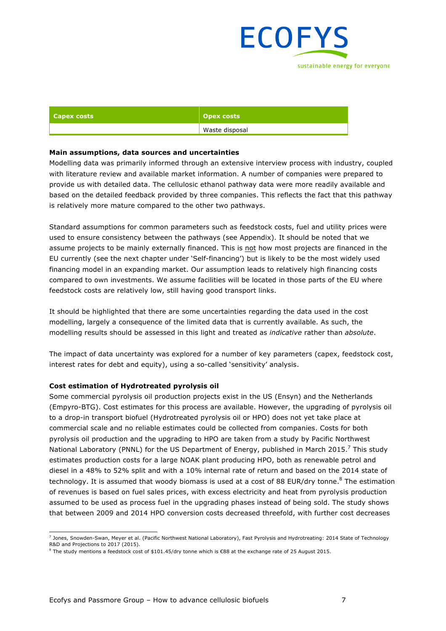

| <b>Capex costs</b> | Opex costs     |
|--------------------|----------------|
|                    | Waste disposal |

#### **Main assumptions, data sources and uncertainties**

Modelling data was primarily informed through an extensive interview process with industry, coupled with literature review and available market information. A number of companies were prepared to provide us with detailed data. The cellulosic ethanol pathway data were more readily available and based on the detailed feedback provided by three companies. This reflects the fact that this pathway is relatively more mature compared to the other two pathways.

Standard assumptions for common parameters such as feedstock costs, fuel and utility prices were used to ensure consistency between the pathways (see Appendix). It should be noted that we assume projects to be mainly externally financed. This is not how most projects are financed in the EU currently (see the next chapter under 'Self-financing') but is likely to be the most widely used financing model in an expanding market. Our assumption leads to relatively high financing costs compared to own investments. We assume facilities will be located in those parts of the EU where feedstock costs are relatively low, still having good transport links.

It should be highlighted that there are some uncertainties regarding the data used in the cost modelling, largely a consequence of the limited data that is currently available. As such, the modelling results should be assessed in this light and treated as *indicative* rather than *absolute*.

The impact of data uncertainty was explored for a number of key parameters (capex, feedstock cost, interest rates for debt and equity), using a so-called 'sensitivity' analysis.

#### **Cost estimation of Hydrotreated pyrolysis oil**

Some commercial pyrolysis oil production projects exist in the US (Ensyn) and the Netherlands (Empyro-BTG). Cost estimates for this process are available. However, the upgrading of pyrolysis oil to a drop-in transport biofuel (Hydrotreated pyrolysis oil or HPO) does not yet take place at commercial scale and no reliable estimates could be collected from companies. Costs for both pyrolysis oil production and the upgrading to HPO are taken from a study by Pacific Northwest National Laboratory (PNNL) for the US Department of Energy, published in March 2015.<sup>7</sup> This study estimates production costs for a large NOAK plant producing HPO, both as renewable petrol and diesel in a 48% to 52% split and with a 10% internal rate of return and based on the 2014 state of technology. It is assumed that woody biomass is used at a cost of 88 EUR/dry tonne. $8$  The estimation of revenues is based on fuel sales prices, with excess electricity and heat from pyrolysis production assumed to be used as process fuel in the upgrading phases instead of being sold. The study shows that between 2009 and 2014 HPO conversion costs decreased threefold, with further cost decreases

 <sup>7</sup> Jones, Snowden-Swan, Meyer et al. (Pacific Northwest National Laboratory), Fast Pyrolysis and Hydrotreating: 2014 State of Technology R&D and Projections to 2017 (2015).

 $^8$  The study mentions a feedstock cost of \$101.45/dry tonne which is €88 at the exchange rate of 25 August 2015.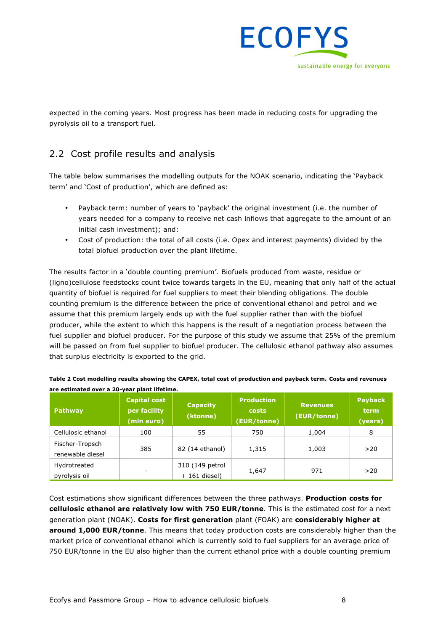

expected in the coming years. Most progress has been made in reducing costs for upgrading the pyrolysis oil to a transport fuel.

## 2.2 Cost profile results and analysis

The table below summarises the modelling outputs for the NOAK scenario, indicating the 'Payback term' and 'Cost of production', which are defined as:

- Payback term: number of years to 'payback' the original investment (i.e. the number of years needed for a company to receive net cash inflows that aggregate to the amount of an initial cash investment); and:
- Cost of production: the total of all costs (i.e. Opex and interest payments) divided by the total biofuel production over the plant lifetime.

The results factor in a 'double counting premium'. Biofuels produced from waste, residue or (ligno)cellulose feedstocks count twice towards targets in the EU, meaning that only half of the actual quantity of biofuel is required for fuel suppliers to meet their blending obligations. The double counting premium is the difference between the price of conventional ethanol and petrol and we assume that this premium largely ends up with the fuel supplier rather than with the biofuel producer, while the extent to which this happens is the result of a negotiation process between the fuel supplier and biofuel producer. For the purpose of this study we assume that 25% of the premium will be passed on from fuel supplier to biofuel producer. The cellulosic ethanol pathway also assumes that surplus electricity is exported to the grid.

| Pathway                             | <b>Capital cost</b><br>per facility<br>(mln euro) | <b>Capacity</b><br>(ktonne)        | <b>Production</b><br>costs<br>(EUR/tonne) | <b>Revenues</b><br>(EUR/tonne) | <b>Payback</b><br>term<br>(years) |
|-------------------------------------|---------------------------------------------------|------------------------------------|-------------------------------------------|--------------------------------|-----------------------------------|
| Cellulosic ethanol                  | 100                                               | 55                                 | 750                                       | 1,004                          | 8                                 |
| Fischer-Tropsch<br>renewable diesel | 385                                               | 82 (14 ethanol)                    | 1,315                                     | 1,003                          | >20                               |
| Hydrotreated<br>pyrolysis oil       |                                                   | 310 (149 petrol<br>$+ 161$ diesel) | 1,647                                     | 971                            | >20                               |

| Table 2 Cost modelling results showing the CAPEX, total cost of production and pavback term. Costs and revenues |
|-----------------------------------------------------------------------------------------------------------------|
| are estimated over a 20-year plant lifetime.                                                                    |

Cost estimations show significant differences between the three pathways. **Production costs for cellulosic ethanol are relatively low with 750 EUR/tonne**. This is the estimated cost for a next generation plant (NOAK). **Costs for first generation** plant (FOAK) are **considerably higher at around 1,000 EUR/tonne**. This means that today production costs are considerably higher than the market price of conventional ethanol which is currently sold to fuel suppliers for an average price of 750 EUR/tonne in the EU also higher than the current ethanol price with a double counting premium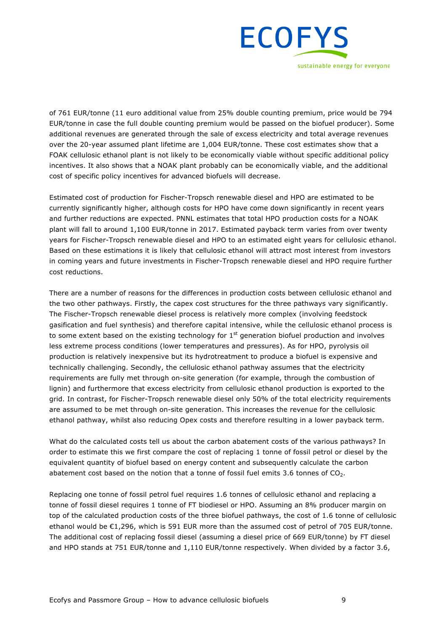

of 761 EUR/tonne (11 euro additional value from 25% double counting premium, price would be 794 EUR/tonne in case the full double counting premium would be passed on the biofuel producer). Some additional revenues are generated through the sale of excess electricity and total average revenues over the 20-year assumed plant lifetime are 1,004 EUR/tonne. These cost estimates show that a FOAK cellulosic ethanol plant is not likely to be economically viable without specific additional policy incentives. It also shows that a NOAK plant probably can be economically viable, and the additional cost of specific policy incentives for advanced biofuels will decrease.

Estimated cost of production for Fischer-Tropsch renewable diesel and HPO are estimated to be currently significantly higher, although costs for HPO have come down significantly in recent years and further reductions are expected. PNNL estimates that total HPO production costs for a NOAK plant will fall to around 1,100 EUR/tonne in 2017. Estimated payback term varies from over twenty years for Fischer-Tropsch renewable diesel and HPO to an estimated eight years for cellulosic ethanol. Based on these estimations it is likely that cellulosic ethanol will attract most interest from investors in coming years and future investments in Fischer-Tropsch renewable diesel and HPO require further cost reductions.

There are a number of reasons for the differences in production costs between cellulosic ethanol and the two other pathways. Firstly, the capex cost structures for the three pathways vary significantly. The Fischer-Tropsch renewable diesel process is relatively more complex (involving feedstock gasification and fuel synthesis) and therefore capital intensive, while the cellulosic ethanol process is to some extent based on the existing technology for  $1<sup>st</sup>$  generation biofuel production and involves less extreme process conditions (lower temperatures and pressures). As for HPO, pyrolysis oil production is relatively inexpensive but its hydrotreatment to produce a biofuel is expensive and technically challenging. Secondly, the cellulosic ethanol pathway assumes that the electricity requirements are fully met through on-site generation (for example, through the combustion of lignin) and furthermore that excess electricity from cellulosic ethanol production is exported to the grid. In contrast, for Fischer-Tropsch renewable diesel only 50% of the total electricity requirements are assumed to be met through on-site generation. This increases the revenue for the cellulosic ethanol pathway, whilst also reducing Opex costs and therefore resulting in a lower payback term.

What do the calculated costs tell us about the carbon abatement costs of the various pathways? In order to estimate this we first compare the cost of replacing 1 tonne of fossil petrol or diesel by the equivalent quantity of biofuel based on energy content and subsequently calculate the carbon abatement cost based on the notion that a tonne of fossil fuel emits 3.6 tonnes of  $CO<sub>2</sub>$ .

Replacing one tonne of fossil petrol fuel requires 1.6 tonnes of cellulosic ethanol and replacing a tonne of fossil diesel requires 1 tonne of FT biodiesel or HPO. Assuming an 8% producer margin on top of the calculated production costs of the three biofuel pathways, the cost of 1.6 tonne of cellulosic ethanol would be €1,296, which is 591 EUR more than the assumed cost of petrol of 705 EUR/tonne. The additional cost of replacing fossil diesel (assuming a diesel price of 669 EUR/tonne) by FT diesel and HPO stands at 751 EUR/tonne and 1,110 EUR/tonne respectively. When divided by a factor 3.6,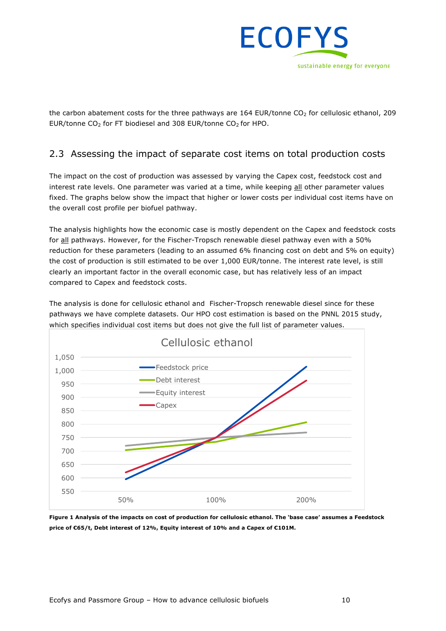

the carbon abatement costs for the three pathways are 164 EUR/tonne  $CO<sub>2</sub>$  for cellulosic ethanol, 209 EUR/tonne  $CO<sub>2</sub>$  for FT biodiesel and 308 EUR/tonne  $CO<sub>2</sub>$  for HPO.

## 2.3 Assessing the impact of separate cost items on total production costs

The impact on the cost of production was assessed by varying the Capex cost, feedstock cost and interest rate levels. One parameter was varied at a time, while keeping all other parameter values fixed. The graphs below show the impact that higher or lower costs per individual cost items have on the overall cost profile per biofuel pathway.

The analysis highlights how the economic case is mostly dependent on the Capex and feedstock costs for all pathways. However, for the Fischer-Tropsch renewable diesel pathway even with a 50% reduction for these parameters (leading to an assumed 6% financing cost on debt and 5% on equity) the cost of production is still estimated to be over 1,000 EUR/tonne. The interest rate level, is still clearly an important factor in the overall economic case, but has relatively less of an impact compared to Capex and feedstock costs.

The analysis is done for cellulosic ethanol and Fischer-Tropsch renewable diesel since for these pathways we have complete datasets. Our HPO cost estimation is based on the PNNL 2015 study, which specifies individual cost items but does not give the full list of parameter values.



**Figure 1 Analysis of the impacts on cost of production for cellulosic ethanol. The 'base case' assumes a Feedstock price of €65/t, Debt interest of 12%, Equity interest of 10% and a Capex of €101M.**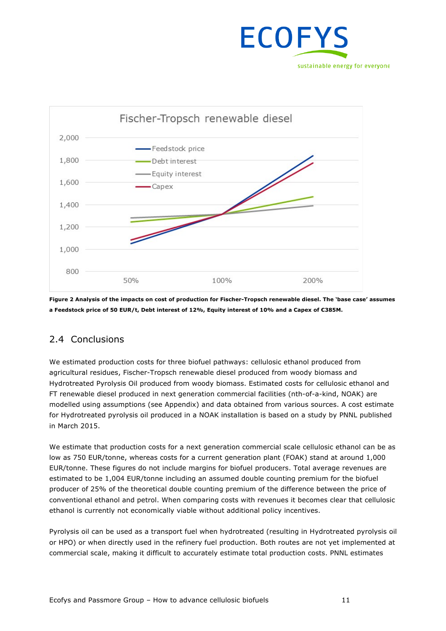



**Figure 2 Analysis of the impacts on cost of production for Fischer-Tropsch renewable diesel. The 'base case' assumes a Feedstock price of 50 EUR/t, Debt interest of 12%, Equity interest of 10% and a Capex of €385M.**

### 2.4 Conclusions

We estimated production costs for three biofuel pathways: cellulosic ethanol produced from agricultural residues, Fischer-Tropsch renewable diesel produced from woody biomass and Hydrotreated Pyrolysis Oil produced from woody biomass. Estimated costs for cellulosic ethanol and FT renewable diesel produced in next generation commercial facilities (nth-of-a-kind, NOAK) are modelled using assumptions (see Appendix) and data obtained from various sources. A cost estimate for Hydrotreated pyrolysis oil produced in a NOAK installation is based on a study by PNNL published in March 2015.

We estimate that production costs for a next generation commercial scale cellulosic ethanol can be as low as 750 EUR/tonne, whereas costs for a current generation plant (FOAK) stand at around 1,000 EUR/tonne. These figures do not include margins for biofuel producers. Total average revenues are estimated to be 1,004 EUR/tonne including an assumed double counting premium for the biofuel producer of 25% of the theoretical double counting premium of the difference between the price of conventional ethanol and petrol. When comparing costs with revenues it becomes clear that cellulosic ethanol is currently not economically viable without additional policy incentives.

Pyrolysis oil can be used as a transport fuel when hydrotreated (resulting in Hydrotreated pyrolysis oil or HPO) or when directly used in the refinery fuel production. Both routes are not yet implemented at commercial scale, making it difficult to accurately estimate total production costs. PNNL estimates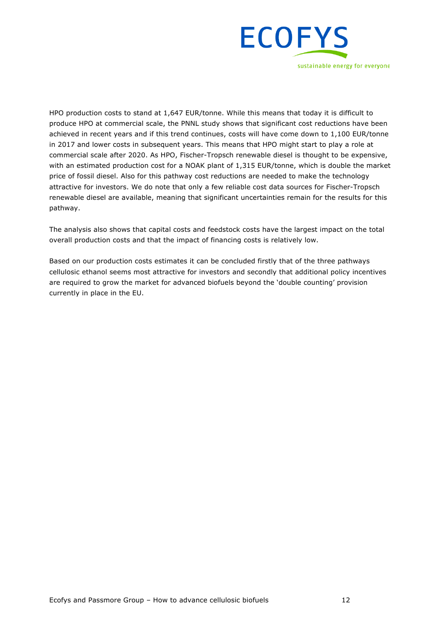

HPO production costs to stand at 1,647 EUR/tonne. While this means that today it is difficult to produce HPO at commercial scale, the PNNL study shows that significant cost reductions have been achieved in recent years and if this trend continues, costs will have come down to 1,100 EUR/tonne in 2017 and lower costs in subsequent years. This means that HPO might start to play a role at commercial scale after 2020. As HPO, Fischer-Tropsch renewable diesel is thought to be expensive, with an estimated production cost for a NOAK plant of 1,315 EUR/tonne, which is double the market price of fossil diesel. Also for this pathway cost reductions are needed to make the technology attractive for investors. We do note that only a few reliable cost data sources for Fischer-Tropsch renewable diesel are available, meaning that significant uncertainties remain for the results for this pathway.

The analysis also shows that capital costs and feedstock costs have the largest impact on the total overall production costs and that the impact of financing costs is relatively low.

Based on our production costs estimates it can be concluded firstly that of the three pathways cellulosic ethanol seems most attractive for investors and secondly that additional policy incentives are required to grow the market for advanced biofuels beyond the 'double counting' provision currently in place in the EU.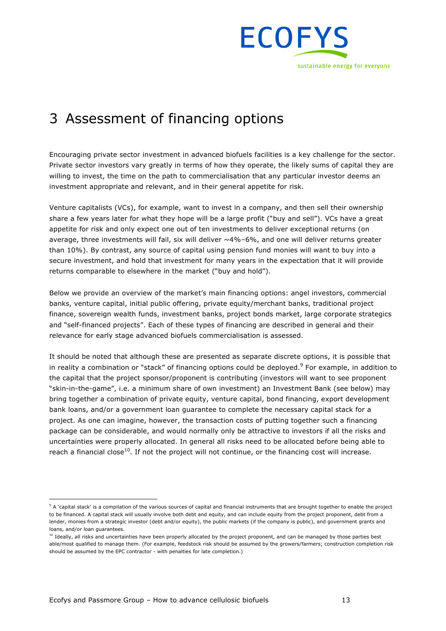

## 3 Assessment of financing options

Encouraging private sector investment in advanced biofuels facilities is a key challenge for the sector. Private sector investors vary greatly in terms of how they operate, the likely sums of capital they are willing to invest, the time on the path to commercialisation that any particular investor deems an investment appropriate and relevant, and in their general appetite for risk.

Venture capitalists (VCs), for example, want to invest in a company, and then sell their ownership share a few years later for what they hope will be a large profit ("buy and sell"). VCs have a great appetite for risk and only expect one out of ten investments to deliver exceptional returns (on average, three investments will fail, six will deliver ~4%–6%, and one will deliver returns greater than 10%). By contrast, any source of capital using pension fund monies will want to buy into a secure investment, and hold that investment for many years in the expectation that it will provide returns comparable to elsewhere in the market ("buy and hold").

Below we provide an overview of the market's main financing options: angel investors, commercial banks, venture capital, initial public offering, private equity/merchant banks, traditional project finance, sovereign wealth funds, investment banks, project bonds market, large corporate strategics and "self-financed projects". Each of these types of financing are described in general and their relevance for early stage advanced biofuels commercialisation is assessed.

It should be noted that although these are presented as separate discrete options, it is possible that in reality a combination or "stack" of financing options could be deployed. $9$  For example, in addition to the capital that the project sponsor/proponent is contributing (investors will want to see proponent "skin-in-the-game", i.e. a minimum share of own investment) an Investment Bank (see below) may bring together a combination of private equity, venture capital, bond financing, export development bank loans, and/or a government loan guarantee to complete the necessary capital stack for a project. As one can imagine, however, the transaction costs of putting together such a financing package can be considerable, and would normally only be attractive to investors if all the risks and uncertainties were properly allocated. In general all risks need to be allocated before being able to reach a financial close<sup>10</sup>. If not the project will not continue, or the financing cost will increase.

<sup>&</sup>lt;sup>9</sup> A 'capital stack' is a compilation of the various sources of capital and financial instruments that are brought together to enable the project to be financed. A capital stack will usually involve both debt and equity, and can include equity from the project proponent, debt from a lender, monies from a strategic investor (debt and/or equity), the public markets (if the company is public), and government grants and loans, and/or loan guarantees.

<sup>&</sup>lt;sup>10</sup> Ideally, all risks and uncertainties have been properly allocated by the project proponent, and can be managed by those parties best able/most qualified to manage them. (For example, feedstock risk should be assumed by the growers/farmers; construction completion risk should be assumed by the EPC contractor - with penalties for late completion.)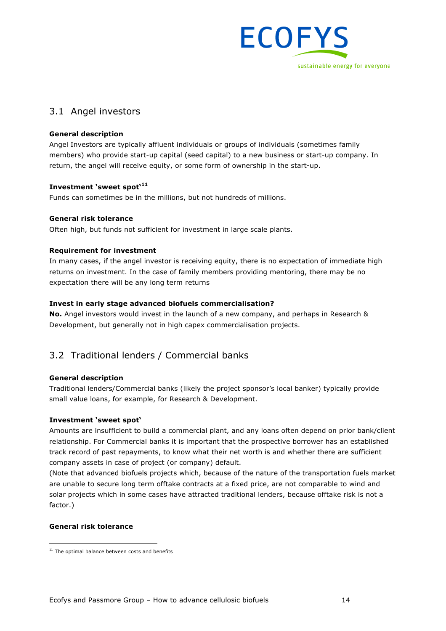

## 3.1 Angel investors

#### **General description**

Angel Investors are typically affluent individuals or groups of individuals (sometimes family members) who provide start-up capital (seed capital) to a new business or start-up company. In return, the angel will receive equity, or some form of ownership in the start-up.

#### **Investment 'sweet spot'<sup>11</sup>**

Funds can sometimes be in the millions, but not hundreds of millions.

#### **General risk tolerance**

Often high, but funds not sufficient for investment in large scale plants.

#### **Requirement for investment**

In many cases, if the angel investor is receiving equity, there is no expectation of immediate high returns on investment. In the case of family members providing mentoring, there may be no expectation there will be any long term returns

#### **Invest in early stage advanced biofuels commercialisation?**

**No.** Angel investors would invest in the launch of a new company, and perhaps in Research & Development, but generally not in high capex commercialisation projects.

## 3.2 Traditional lenders / Commercial banks

#### **General description**

Traditional lenders/Commercial banks (likely the project sponsor's local banker) typically provide small value loans, for example, for Research & Development.

#### **Investment 'sweet spot'**

Amounts are insufficient to build a commercial plant, and any loans often depend on prior bank/client relationship. For Commercial banks it is important that the prospective borrower has an established track record of past repayments, to know what their net worth is and whether there are sufficient company assets in case of project (or company) default.

(Note that advanced biofuels projects which, because of the nature of the transportation fuels market are unable to secure long term offtake contracts at a fixed price, are not comparable to wind and solar projects which in some cases have attracted traditional lenders, because offtake risk is not a factor.)

#### **General risk tolerance**

 $11$  The optimal balance between costs and benefits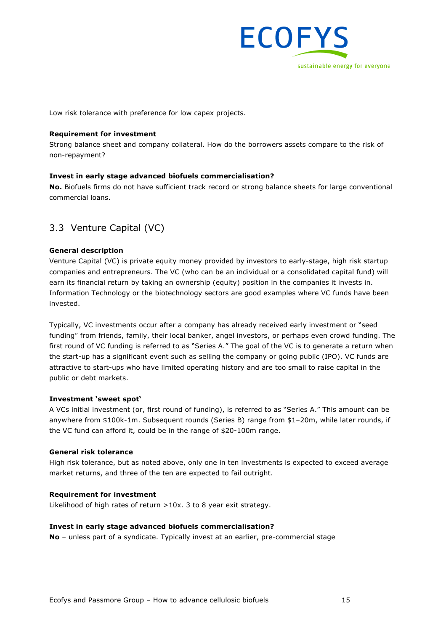

Low risk tolerance with preference for low capex projects.

#### **Requirement for investment**

Strong balance sheet and company collateral. How do the borrowers assets compare to the risk of non-repayment?

#### **Invest in early stage advanced biofuels commercialisation?**

**No.** Biofuels firms do not have sufficient track record or strong balance sheets for large conventional commercial loans.

### 3.3 Venture Capital (VC)

#### **General description**

Venture Capital (VC) is private equity money provided by investors to early-stage, high risk startup companies and entrepreneurs. The VC (who can be an individual or a consolidated capital fund) will earn its financial return by taking an ownership (equity) position in the companies it invests in. Information Technology or the biotechnology sectors are good examples where VC funds have been invested.

Typically, VC investments occur after a company has already received early investment or "seed funding" from friends, family, their local banker, angel investors, or perhaps even crowd funding. The first round of VC funding is referred to as "Series A." The goal of the VC is to generate a return when the start-up has a significant event such as selling the company or going public (IPO). VC funds are attractive to start-ups who have limited operating history and are too small to raise capital in the public or debt markets.

#### **Investment 'sweet spot'**

A VCs initial investment (or, first round of funding), is referred to as "Series A." This amount can be anywhere from \$100k-1m. Subsequent rounds (Series B) range from \$1–20m, while later rounds, if the VC fund can afford it, could be in the range of \$20-100m range.

#### **General risk tolerance**

High risk tolerance, but as noted above, only one in ten investments is expected to exceed average market returns, and three of the ten are expected to fail outright.

#### **Requirement for investment**

Likelihood of high rates of return >10x. 3 to 8 year exit strategy.

#### **Invest in early stage advanced biofuels commercialisation?**

**No** – unless part of a syndicate. Typically invest at an earlier, pre-commercial stage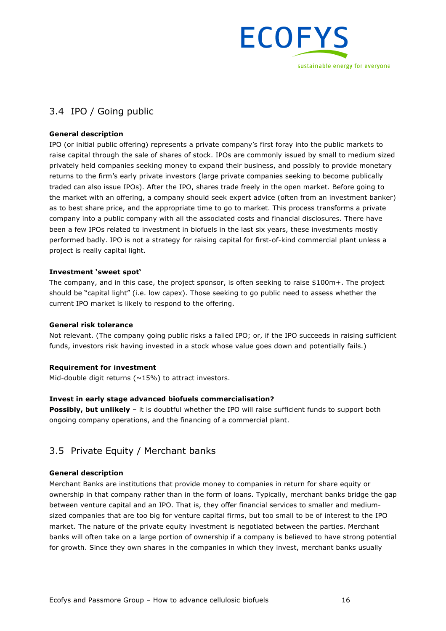

## 3.4 IPO / Going public

#### **General description**

IPO (or initial public offering) represents a private company's first foray into the public markets to raise capital through the sale of shares of stock. IPOs are commonly issued by small to medium sized privately held companies seeking money to expand their business, and possibly to provide monetary returns to the firm's early private investors (large private companies seeking to become publically traded can also issue IPOs). After the IPO, shares trade freely in the open market. Before going to the market with an offering, a company should seek expert advice (often from an investment banker) as to best share price, and the appropriate time to go to market. This process transforms a private company into a public company with all the associated costs and financial disclosures. There have been a few IPOs related to investment in biofuels in the last six years, these investments mostly performed badly. IPO is not a strategy for raising capital for first-of-kind commercial plant unless a project is really capital light.

#### **Investment 'sweet spot'**

The company, and in this case, the project sponsor, is often seeking to raise \$100m+. The project should be "capital light" (i.e. low capex). Those seeking to go public need to assess whether the current IPO market is likely to respond to the offering.

#### **General risk tolerance**

Not relevant. (The company going public risks a failed IPO; or, if the IPO succeeds in raising sufficient funds, investors risk having invested in a stock whose value goes down and potentially fails.)

#### **Requirement for investment**

Mid-double digit returns ( $\sim$ 15%) to attract investors.

#### **Invest in early stage advanced biofuels commercialisation?**

**Possibly, but unlikely** – it is doubtful whether the IPO will raise sufficient funds to support both ongoing company operations, and the financing of a commercial plant.

### 3.5 Private Equity / Merchant banks

#### **General description**

Merchant Banks are institutions that provide money to companies in return for share equity or ownership in that company rather than in the form of loans. Typically, merchant banks bridge the gap between venture capital and an IPO. That is, they offer financial services to smaller and mediumsized companies that are too big for venture capital firms, but too small to be of interest to the IPO market. The nature of the private equity investment is negotiated between the parties. Merchant banks will often take on a large portion of ownership if a company is believed to have strong potential for growth. Since they own shares in the companies in which they invest, merchant banks usually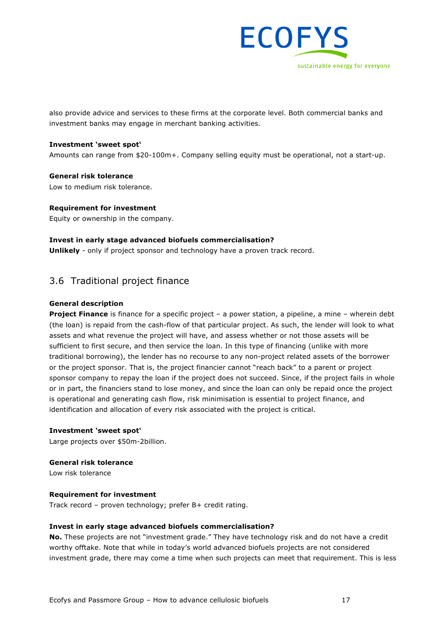

also provide advice and services to these firms at the corporate level. Both commercial banks and investment banks may engage in merchant banking activities.

#### **Investment 'sweet spot'**

Amounts can range from \$20-100m+. Company selling equity must be operational, not a start-up.

**General risk tolerance** Low to medium risk tolerance.

**Requirement for investment**

Equity or ownership in the company.

#### **Invest in early stage advanced biofuels commercialisation?**

**Unlikely** - only if project sponsor and technology have a proven track record.

### 3.6 Traditional project finance

#### **General description**

**Project Finance** is finance for a specific project – a power station, a pipeline, a mine – wherein debt (the loan) is repaid from the cash-flow of that particular project. As such, the lender will look to what assets and what revenue the project will have, and assess whether or not those assets will be sufficient to first secure, and then service the loan. In this type of financing (unlike with more traditional borrowing), the lender has no recourse to any non-project related assets of the borrower or the project sponsor. That is, the project financier cannot "reach back" to a parent or project sponsor company to repay the loan if the project does not succeed. Since, if the project fails in whole or in part, the financiers stand to lose money, and since the loan can only be repaid once the project is operational and generating cash flow, risk minimisation is essential to project finance, and identification and allocation of every risk associated with the project is critical.

#### **Investment 'sweet spot'**

Large projects over \$50m-2billion.

**General risk tolerance**

Low risk tolerance

#### **Requirement for investment**

Track record – proven technology; prefer B+ credit rating.

#### **Invest in early stage advanced biofuels commercialisation?**

**No.** These projects are not "investment grade." They have technology risk and do not have a credit worthy offtake. Note that while in today's world advanced biofuels projects are not considered investment grade, there may come a time when such projects can meet that requirement. This is less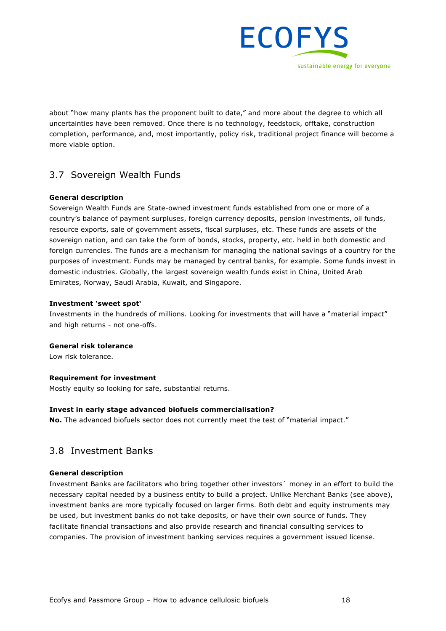

about "how many plants has the proponent built to date," and more about the degree to which all uncertainties have been removed. Once there is no technology, feedstock, offtake, construction completion, performance, and, most importantly, policy risk, traditional project finance will become a more viable option.

### 3.7 Sovereign Wealth Funds

#### **General description**

Sovereign Wealth Funds are State-owned investment funds established from one or more of a country's balance of payment surpluses, foreign currency deposits, pension investments, oil funds, resource exports, sale of government assets, fiscal surpluses, etc. These funds are assets of the sovereign nation, and can take the form of bonds, stocks, property, etc. held in both domestic and foreign currencies. The funds are a mechanism for managing the national savings of a country for the purposes of investment. Funds may be managed by central banks, for example. Some funds invest in domestic industries. Globally, the largest sovereign wealth funds exist in China, United Arab Emirates, Norway, Saudi Arabia, Kuwait, and Singapore.

#### **Investment 'sweet spot'**

Investments in the hundreds of millions. Looking for investments that will have a "material impact" and high returns - not one-offs.

#### **General risk tolerance**

Low risk tolerance.

#### **Requirement for investment**

Mostly equity so looking for safe, substantial returns.

#### **Invest in early stage advanced biofuels commercialisation?**

**No.** The advanced biofuels sector does not currently meet the test of "material impact."

### 3.8 Investment Banks

#### **General description**

Investment Banks are facilitators who bring together other investors` money in an effort to build the necessary capital needed by a business entity to build a project. Unlike Merchant Banks (see above), investment banks are more typically focused on larger firms. Both debt and equity instruments may be used, but investment banks do not take deposits, or have their own source of funds. They facilitate financial transactions and also provide research and financial consulting services to companies. The provision of investment banking services requires a government issued license.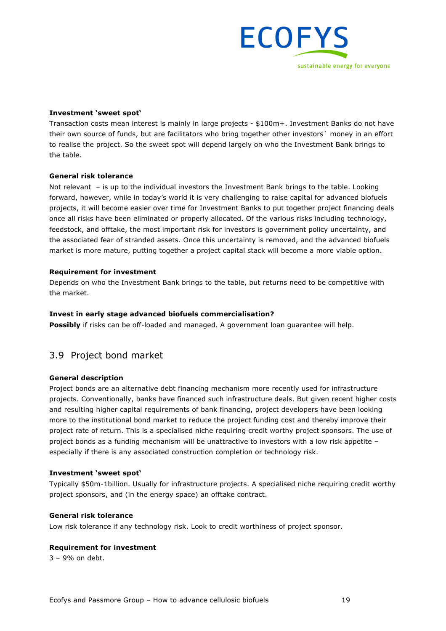

#### **Investment 'sweet spot'**

Transaction costs mean interest is mainly in large projects - \$100m+. Investment Banks do not have their own source of funds, but are facilitators who bring together other investors` money in an effort to realise the project. So the sweet spot will depend largely on who the Investment Bank brings to the table.

#### **General risk tolerance**

Not relevant – is up to the individual investors the Investment Bank brings to the table. Looking forward, however, while in today's world it is very challenging to raise capital for advanced biofuels projects, it will become easier over time for Investment Banks to put together project financing deals once all risks have been eliminated or properly allocated. Of the various risks including technology, feedstock, and offtake, the most important risk for investors is government policy uncertainty, and the associated fear of stranded assets. Once this uncertainty is removed, and the advanced biofuels market is more mature, putting together a project capital stack will become a more viable option.

#### **Requirement for investment**

Depends on who the Investment Bank brings to the table, but returns need to be competitive with the market.

#### **Invest in early stage advanced biofuels commercialisation?**

**Possibly** if risks can be off-loaded and managed. A government loan guarantee will help.

#### 3.9 Project bond market

#### **General description**

Project bonds are an alternative debt financing mechanism more recently used for infrastructure projects. Conventionally, banks have financed such infrastructure deals. But given recent higher costs and resulting higher capital requirements of bank financing, project developers have been looking more to the institutional bond market to reduce the project funding cost and thereby improve their project rate of return. This is a specialised niche requiring credit worthy project sponsors. The use of project bonds as a funding mechanism will be unattractive to investors with a low risk appetite – especially if there is any associated construction completion or technology risk.

#### **Investment 'sweet spot'**

Typically \$50m-1billion. Usually for infrastructure projects. A specialised niche requiring credit worthy project sponsors, and (in the energy space) an offtake contract.

#### **General risk tolerance**

Low risk tolerance if any technology risk. Look to credit worthiness of project sponsor.

#### **Requirement for investment**

3 – 9% on debt.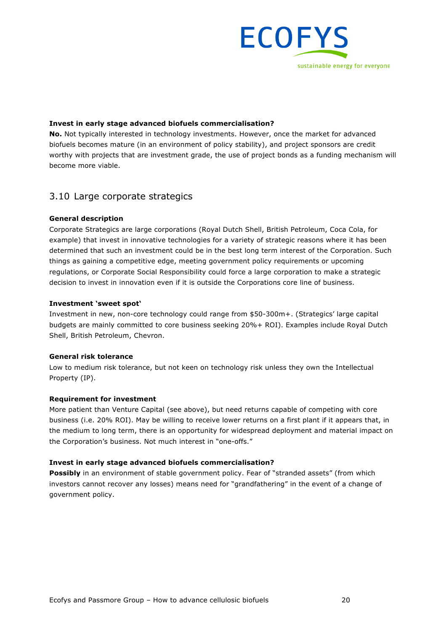

#### **Invest in early stage advanced biofuels commercialisation?**

**No.** Not typically interested in technology investments. However, once the market for advanced biofuels becomes mature (in an environment of policy stability), and project sponsors are credit worthy with projects that are investment grade, the use of project bonds as a funding mechanism will become more viable.

### 3.10 Large corporate strategics

#### **General description**

Corporate Strategics are large corporations (Royal Dutch Shell, British Petroleum, Coca Cola, for example) that invest in innovative technologies for a variety of strategic reasons where it has been determined that such an investment could be in the best long term interest of the Corporation. Such things as gaining a competitive edge, meeting government policy requirements or upcoming regulations, or Corporate Social Responsibility could force a large corporation to make a strategic decision to invest in innovation even if it is outside the Corporations core line of business.

#### **Investment 'sweet spot'**

Investment in new, non-core technology could range from \$50-300m+. (Strategics' large capital budgets are mainly committed to core business seeking 20%+ ROI). Examples include Royal Dutch Shell, British Petroleum, Chevron.

#### **General risk tolerance**

Low to medium risk tolerance, but not keen on technology risk unless they own the Intellectual Property (IP).

#### **Requirement for investment**

More patient than Venture Capital (see above), but need returns capable of competing with core business (i.e. 20% ROI). May be willing to receive lower returns on a first plant if it appears that, in the medium to long term, there is an opportunity for widespread deployment and material impact on the Corporation's business. Not much interest in "one-offs."

#### **Invest in early stage advanced biofuels commercialisation?**

**Possibly** in an environment of stable government policy. Fear of "stranded assets" (from which investors cannot recover any losses) means need for "grandfathering" in the event of a change of government policy.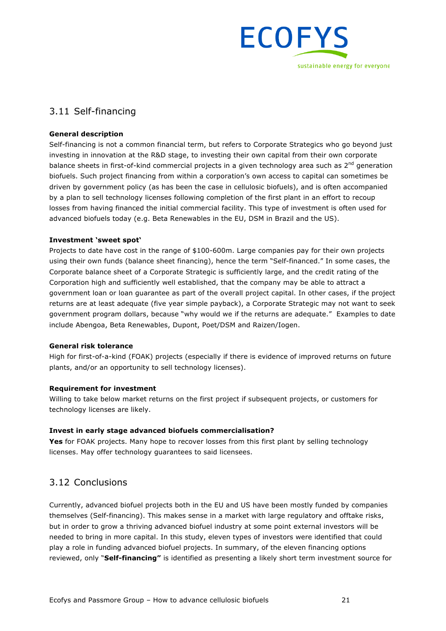

## 3.11 Self-financing

#### **General description**

Self-financing is not a common financial term, but refers to Corporate Strategics who go beyond just investing in innovation at the R&D stage, to investing their own capital from their own corporate balance sheets in first-of-kind commercial projects in a given technology area such as 2<sup>nd</sup> generation biofuels. Such project financing from within a corporation's own access to capital can sometimes be driven by government policy (as has been the case in cellulosic biofuels), and is often accompanied by a plan to sell technology licenses following completion of the first plant in an effort to recoup losses from having financed the initial commercial facility. This type of investment is often used for advanced biofuels today (e.g. Beta Renewables in the EU, DSM in Brazil and the US).

#### **Investment 'sweet spot'**

Projects to date have cost in the range of \$100-600m. Large companies pay for their own projects using their own funds (balance sheet financing), hence the term "Self-financed." In some cases, the Corporate balance sheet of a Corporate Strategic is sufficiently large, and the credit rating of the Corporation high and sufficiently well established, that the company may be able to attract a government loan or loan guarantee as part of the overall project capital. In other cases, if the project returns are at least adequate (five year simple payback), a Corporate Strategic may not want to seek government program dollars, because "why would we if the returns are adequate." Examples to date include Abengoa, Beta Renewables, Dupont, Poet/DSM and Raizen/Iogen.

#### **General risk tolerance**

High for first-of-a-kind (FOAK) projects (especially if there is evidence of improved returns on future plants, and/or an opportunity to sell technology licenses).

#### **Requirement for investment**

Willing to take below market returns on the first project if subsequent projects, or customers for technology licenses are likely.

#### **Invest in early stage advanced biofuels commercialisation?**

**Yes** for FOAK projects. Many hope to recover losses from this first plant by selling technology licenses. May offer technology guarantees to said licensees.

### 3.12 Conclusions

Currently, advanced biofuel projects both in the EU and US have been mostly funded by companies themselves (Self-financing). This makes sense in a market with large regulatory and offtake risks, but in order to grow a thriving advanced biofuel industry at some point external investors will be needed to bring in more capital. In this study, eleven types of investors were identified that could play a role in funding advanced biofuel projects. In summary, of the eleven financing options reviewed, only "**Self-financing"** is identified as presenting a likely short term investment source for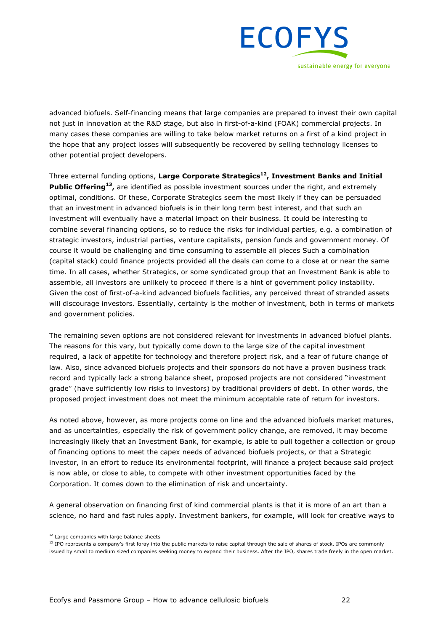

advanced biofuels. Self-financing means that large companies are prepared to invest their own capital not just in innovation at the R&D stage, but also in first-of-a-kind (FOAK) commercial projects. In many cases these companies are willing to take below market returns on a first of a kind project in the hope that any project losses will subsequently be recovered by selling technology licenses to other potential project developers.

Three external funding options, **Large Corporate Strategics12, Investment Banks and Initial Public Offering13,** are identified as possible investment sources under the right, and extremely optimal, conditions. Of these, Corporate Strategics seem the most likely if they can be persuaded that an investment in advanced biofuels is in their long term best interest, and that such an investment will eventually have a material impact on their business. It could be interesting to combine several financing options, so to reduce the risks for individual parties, e.g. a combination of strategic investors, industrial parties, venture capitalists, pension funds and government money. Of course it would be challenging and time consuming to assemble all pieces Such a combination (capital stack) could finance projects provided all the deals can come to a close at or near the same time. In all cases, whether Strategics, or some syndicated group that an Investment Bank is able to assemble, all investors are unlikely to proceed if there is a hint of government policy instability. Given the cost of first-of-a-kind advanced biofuels facilities, any perceived threat of stranded assets will discourage investors. Essentially, certainty is the mother of investment, both in terms of markets and government policies.

The remaining seven options are not considered relevant for investments in advanced biofuel plants. The reasons for this vary, but typically come down to the large size of the capital investment required, a lack of appetite for technology and therefore project risk, and a fear of future change of law. Also, since advanced biofuels projects and their sponsors do not have a proven business track record and typically lack a strong balance sheet, proposed projects are not considered "investment grade" (have sufficiently low risks to investors) by traditional providers of debt. In other words, the proposed project investment does not meet the minimum acceptable rate of return for investors.

As noted above, however, as more projects come on line and the advanced biofuels market matures, and as uncertainties, especially the risk of government policy change, are removed, it may become increasingly likely that an Investment Bank, for example, is able to pull together a collection or group of financing options to meet the capex needs of advanced biofuels projects, or that a Strategic investor, in an effort to reduce its environmental footprint, will finance a project because said project is now able, or close to able, to compete with other investment opportunities faced by the Corporation. It comes down to the elimination of risk and uncertainty.

A general observation on financing first of kind commercial plants is that it is more of an art than a science, no hard and fast rules apply. Investment bankers, for example, will look for creative ways to

<sup>&</sup>lt;sup>12</sup> Large companies with large balance sheets

<sup>&</sup>lt;sup>13</sup> IPO represents a company's first foray into the public markets to raise capital through the sale of shares of stock. IPOs are commonly issued by small to medium sized companies seeking money to expand their business. After the IPO, shares trade freely in the open market.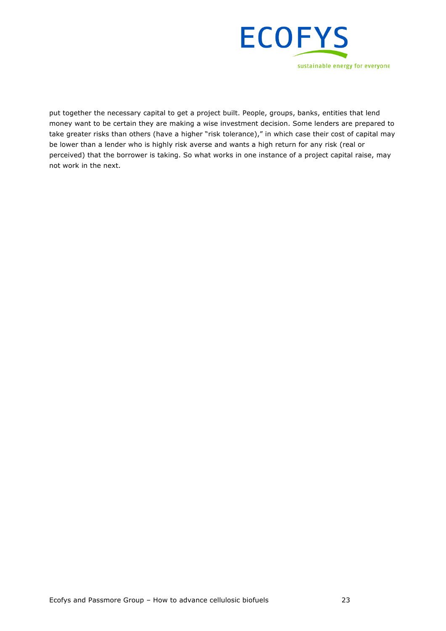

put together the necessary capital to get a project built. People, groups, banks, entities that lend money want to be certain they are making a wise investment decision. Some lenders are prepared to take greater risks than others (have a higher "risk tolerance)," in which case their cost of capital may be lower than a lender who is highly risk averse and wants a high return for any risk (real or perceived) that the borrower is taking. So what works in one instance of a project capital raise, may not work in the next.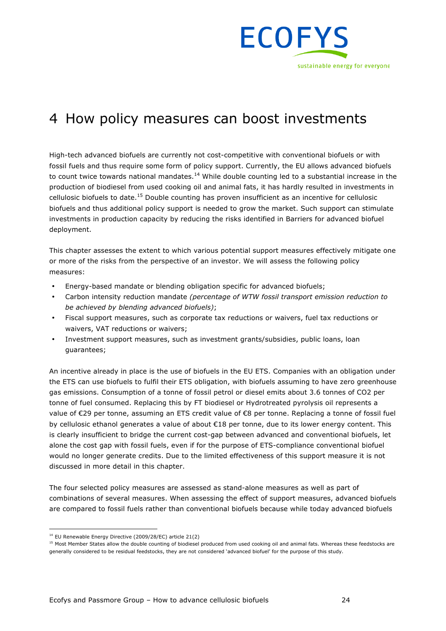

## 4 How policy measures can boost investments

High-tech advanced biofuels are currently not cost-competitive with conventional biofuels or with fossil fuels and thus require some form of policy support. Currently, the EU allows advanced biofuels to count twice towards national mandates.<sup>14</sup> While double counting led to a substantial increase in the production of biodiesel from used cooking oil and animal fats, it has hardly resulted in investments in cellulosic biofuels to date.<sup>15</sup> Double counting has proven insufficient as an incentive for cellulosic biofuels and thus additional policy support is needed to grow the market. Such support can stimulate investments in production capacity by reducing the risks identified in Barriers for advanced biofuel deployment.

This chapter assesses the extent to which various potential support measures effectively mitigate one or more of the risks from the perspective of an investor. We will assess the following policy measures:

- Energy-based mandate or blending obligation specific for advanced biofuels;
- Carbon intensity reduction mandate *(percentage of WTW fossil transport emission reduction to be achieved by blending advanced biofuels)*;
- Fiscal support measures, such as corporate tax reductions or waivers, fuel tax reductions or waivers, VAT reductions or waivers;
- Investment support measures, such as investment grants/subsidies, public loans, loan guarantees;

An incentive already in place is the use of biofuels in the EU ETS. Companies with an obligation under the ETS can use biofuels to fulfil their ETS obligation, with biofuels assuming to have zero greenhouse gas emissions. Consumption of a tonne of fossil petrol or diesel emits about 3.6 tonnes of CO2 per tonne of fuel consumed. Replacing this by FT biodiesel or Hydrotreated pyrolysis oil represents a value of €29 per tonne, assuming an ETS credit value of €8 per tonne. Replacing a tonne of fossil fuel by cellulosic ethanol generates a value of about €18 per tonne, due to its lower energy content. This is clearly insufficient to bridge the current cost-gap between advanced and conventional biofuels, let alone the cost gap with fossil fuels, even if for the purpose of ETS-compliance conventional biofuel would no longer generate credits. Due to the limited effectiveness of this support measure it is not discussed in more detail in this chapter.

The four selected policy measures are assessed as stand-alone measures as well as part of combinations of several measures. When assessing the effect of support measures, advanced biofuels are compared to fossil fuels rather than conventional biofuels because while today advanced biofuels

 <sup>14</sup> EU Renewable Energy Directive (2009/28/EC) article 21(2)

<sup>&</sup>lt;sup>15</sup> Most Member States allow the double counting of biodiesel produced from used cooking oil and animal fats. Whereas these feedstocks are generally considered to be residual feedstocks, they are not considered 'advanced biofuel' for the purpose of this study.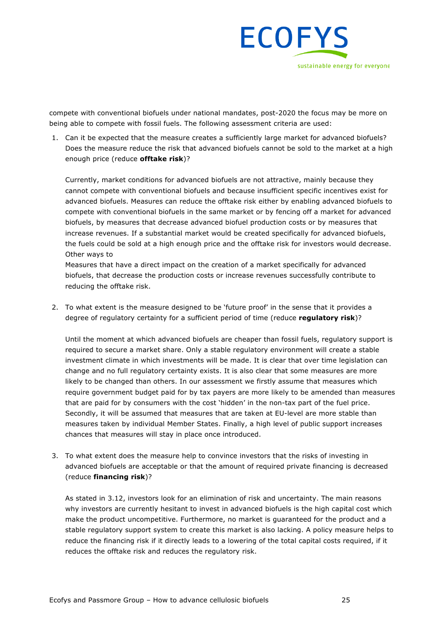

compete with conventional biofuels under national mandates, post-2020 the focus may be more on being able to compete with fossil fuels. The following assessment criteria are used:

1. Can it be expected that the measure creates a sufficiently large market for advanced biofuels? Does the measure reduce the risk that advanced biofuels cannot be sold to the market at a high enough price (reduce **offtake risk**)?

Currently, market conditions for advanced biofuels are not attractive, mainly because they cannot compete with conventional biofuels and because insufficient specific incentives exist for advanced biofuels. Measures can reduce the offtake risk either by enabling advanced biofuels to compete with conventional biofuels in the same market or by fencing off a market for advanced biofuels, by measures that decrease advanced biofuel production costs or by measures that increase revenues. If a substantial market would be created specifically for advanced biofuels, the fuels could be sold at a high enough price and the offtake risk for investors would decrease. Other ways to

Measures that have a direct impact on the creation of a market specifically for advanced biofuels, that decrease the production costs or increase revenues successfully contribute to reducing the offtake risk.

2. To what extent is the measure designed to be 'future proof' in the sense that it provides a degree of regulatory certainty for a sufficient period of time (reduce **regulatory risk**)?

Until the moment at which advanced biofuels are cheaper than fossil fuels, regulatory support is required to secure a market share. Only a stable regulatory environment will create a stable investment climate in which investments will be made. It is clear that over time legislation can change and no full regulatory certainty exists. It is also clear that some measures are more likely to be changed than others. In our assessment we firstly assume that measures which require government budget paid for by tax payers are more likely to be amended than measures that are paid for by consumers with the cost 'hidden' in the non-tax part of the fuel price. Secondly, it will be assumed that measures that are taken at EU-level are more stable than measures taken by individual Member States. Finally, a high level of public support increases chances that measures will stay in place once introduced.

3. To what extent does the measure help to convince investors that the risks of investing in advanced biofuels are acceptable or that the amount of required private financing is decreased (reduce **financing risk**)?

As stated in 3.12, investors look for an elimination of risk and uncertainty. The main reasons why investors are currently hesitant to invest in advanced biofuels is the high capital cost which make the product uncompetitive. Furthermore, no market is guaranteed for the product and a stable regulatory support system to create this market is also lacking. A policy measure helps to reduce the financing risk if it directly leads to a lowering of the total capital costs required, if it reduces the offtake risk and reduces the regulatory risk.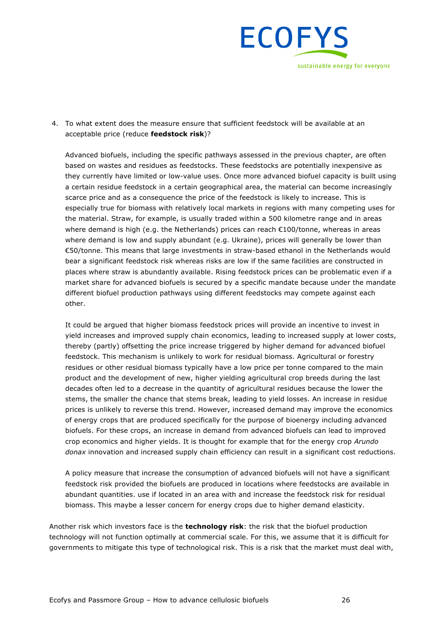

4. To what extent does the measure ensure that sufficient feedstock will be available at an acceptable price (reduce **feedstock risk**)?

Advanced biofuels, including the specific pathways assessed in the previous chapter, are often based on wastes and residues as feedstocks. These feedstocks are potentially inexpensive as they currently have limited or low-value uses. Once more advanced biofuel capacity is built using a certain residue feedstock in a certain geographical area, the material can become increasingly scarce price and as a consequence the price of the feedstock is likely to increase. This is especially true for biomass with relatively local markets in regions with many competing uses for the material. Straw, for example, is usually traded within a 500 kilometre range and in areas where demand is high (e.g. the Netherlands) prices can reach  $\epsilon$ 100/tonne, whereas in areas where demand is low and supply abundant (e.g. Ukraine), prices will generally be lower than €50/tonne. This means that large investments in straw-based ethanol in the Netherlands would bear a significant feedstock risk whereas risks are low if the same facilities are constructed in places where straw is abundantly available. Rising feedstock prices can be problematic even if a market share for advanced biofuels is secured by a specific mandate because under the mandate different biofuel production pathways using different feedstocks may compete against each other.

It could be argued that higher biomass feedstock prices will provide an incentive to invest in yield increases and improved supply chain economics, leading to increased supply at lower costs, thereby (partly) offsetting the price increase triggered by higher demand for advanced biofuel feedstock. This mechanism is unlikely to work for residual biomass. Agricultural or forestry residues or other residual biomass typically have a low price per tonne compared to the main product and the development of new, higher yielding agricultural crop breeds during the last decades often led to a decrease in the quantity of agricultural residues because the lower the stems, the smaller the chance that stems break, leading to yield losses. An increase in residue prices is unlikely to reverse this trend. However, increased demand may improve the economics of energy crops that are produced specifically for the purpose of bioenergy including advanced biofuels. For these crops, an increase in demand from advanced biofuels can lead to improved crop economics and higher yields. It is thought for example that for the energy crop *Arundo donax* innovation and increased supply chain efficiency can result in a significant cost reductions.

A policy measure that increase the consumption of advanced biofuels will not have a significant feedstock risk provided the biofuels are produced in locations where feedstocks are available in abundant quantities. use if located in an area with and increase the feedstock risk for residual biomass. This maybe a lesser concern for energy crops due to higher demand elasticity.

Another risk which investors face is the **technology risk**: the risk that the biofuel production technology will not function optimally at commercial scale. For this, we assume that it is difficult for governments to mitigate this type of technological risk. This is a risk that the market must deal with,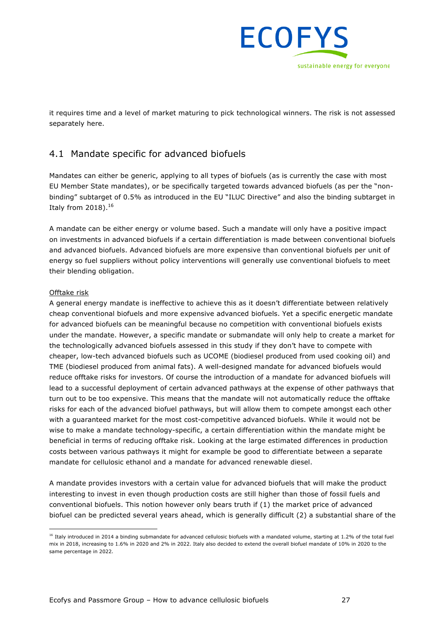

it requires time and a level of market maturing to pick technological winners. The risk is not assessed separately here.

## 4.1 Mandate specific for advanced biofuels

Mandates can either be generic, applying to all types of biofuels (as is currently the case with most EU Member State mandates), or be specifically targeted towards advanced biofuels (as per the "nonbinding" subtarget of 0.5% as introduced in the EU "ILUC Directive" and also the binding subtarget in Italy from 2018).<sup>16</sup>

A mandate can be either energy or volume based. Such a mandate will only have a positive impact on investments in advanced biofuels if a certain differentiation is made between conventional biofuels and advanced biofuels. Advanced biofuels are more expensive than conventional biofuels per unit of energy so fuel suppliers without policy interventions will generally use conventional biofuels to meet their blending obligation.

#### Offtake risk

A general energy mandate is ineffective to achieve this as it doesn't differentiate between relatively cheap conventional biofuels and more expensive advanced biofuels. Yet a specific energetic mandate for advanced biofuels can be meaningful because no competition with conventional biofuels exists under the mandate. However, a specific mandate or submandate will only help to create a market for the technologically advanced biofuels assessed in this study if they don't have to compete with cheaper, low-tech advanced biofuels such as UCOME (biodiesel produced from used cooking oil) and TME (biodiesel produced from animal fats). A well-designed mandate for advanced biofuels would reduce offtake risks for investors. Of course the introduction of a mandate for advanced biofuels will lead to a successful deployment of certain advanced pathways at the expense of other pathways that turn out to be too expensive. This means that the mandate will not automatically reduce the offtake risks for each of the advanced biofuel pathways, but will allow them to compete amongst each other with a guaranteed market for the most cost-competitive advanced biofuels. While it would not be wise to make a mandate technology-specific, a certain differentiation within the mandate might be beneficial in terms of reducing offtake risk. Looking at the large estimated differences in production costs between various pathways it might for example be good to differentiate between a separate mandate for cellulosic ethanol and a mandate for advanced renewable diesel.

A mandate provides investors with a certain value for advanced biofuels that will make the product interesting to invest in even though production costs are still higher than those of fossil fuels and conventional biofuels. This notion however only bears truth if (1) the market price of advanced biofuel can be predicted several years ahead, which is generally difficult (2) a substantial share of the

 $16$  Italy introduced in 2014 a binding submandate for advanced cellulosic biofuels with a mandated volume, starting at 1.2% of the total fuel mix in 2018, increasing to 1.6% in 2020 and 2% in 2022. Italy also decided to extend the overall biofuel mandate of 10% in 2020 to the same percentage in 2022.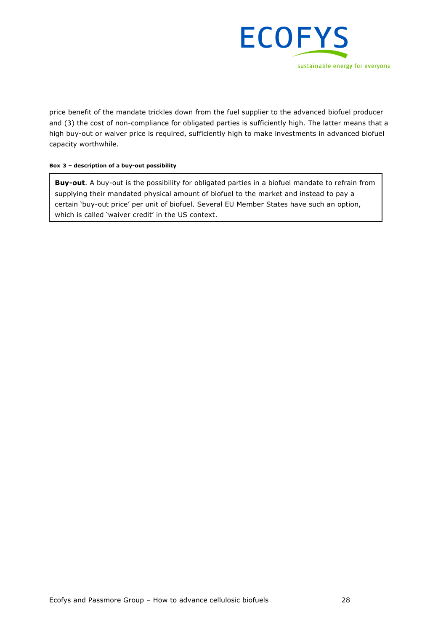

price benefit of the mandate trickles down from the fuel supplier to the advanced biofuel producer and (3) the cost of non-compliance for obligated parties is sufficiently high. The latter means that a high buy-out or waiver price is required, sufficiently high to make investments in advanced biofuel capacity worthwhile.

#### **Box 3 – description of a buy-out possibility**

**Buy-out**. A buy-out is the possibility for obligated parties in a biofuel mandate to refrain from supplying their mandated physical amount of biofuel to the market and instead to pay a certain 'buy-out price' per unit of biofuel. Several EU Member States have such an option, which is called 'waiver credit' in the US context.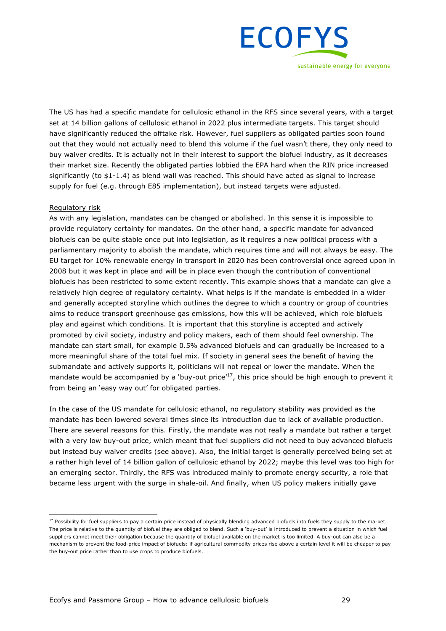

The US has had a specific mandate for cellulosic ethanol in the RFS since several years, with a target set at 14 billion gallons of cellulosic ethanol in 2022 plus intermediate targets. This target should have significantly reduced the offtake risk. However, fuel suppliers as obligated parties soon found out that they would not actually need to blend this volume if the fuel wasn't there, they only need to buy waiver credits. It is actually not in their interest to support the biofuel industry, as it decreases their market size. Recently the obligated parties lobbied the EPA hard when the RIN price increased significantly (to \$1-1.4) as blend wall was reached. This should have acted as signal to increase supply for fuel (e.g. through E85 implementation), but instead targets were adjusted.

#### Regulatory risk

As with any legislation, mandates can be changed or abolished. In this sense it is impossible to provide regulatory certainty for mandates. On the other hand, a specific mandate for advanced biofuels can be quite stable once put into legislation, as it requires a new political process with a parliamentary majority to abolish the mandate, which requires time and will not always be easy. The EU target for 10% renewable energy in transport in 2020 has been controversial once agreed upon in 2008 but it was kept in place and will be in place even though the contribution of conventional biofuels has been restricted to some extent recently. This example shows that a mandate can give a relatively high degree of regulatory certainty. What helps is if the mandate is embedded in a wider and generally accepted storyline which outlines the degree to which a country or group of countries aims to reduce transport greenhouse gas emissions, how this will be achieved, which role biofuels play and against which conditions. It is important that this storyline is accepted and actively promoted by civil society, industry and policy makers, each of them should feel ownership. The mandate can start small, for example 0.5% advanced biofuels and can gradually be increased to a more meaningful share of the total fuel mix. If society in general sees the benefit of having the submandate and actively supports it, politicians will not repeal or lower the mandate. When the mandate would be accompanied by a 'buy-out price'<sup>17</sup>, this price should be high enough to prevent it from being an 'easy way out' for obligated parties.

In the case of the US mandate for cellulosic ethanol, no regulatory stability was provided as the mandate has been lowered several times since its introduction due to lack of available production. There are several reasons for this. Firstly, the mandate was not really a mandate but rather a target with a very low buy-out price, which meant that fuel suppliers did not need to buy advanced biofuels but instead buy waiver credits (see above). Also, the initial target is generally perceived being set at a rather high level of 14 billion gallon of cellulosic ethanol by 2022; maybe this level was too high for an emerging sector. Thirdly, the RFS was introduced mainly to promote energy security, a role that became less urgent with the surge in shale-oil. And finally, when US policy makers initially gave

<sup>&</sup>lt;sup>17</sup> Possibility for fuel suppliers to pay a certain price instead of physically blending advanced biofuels into fuels they supply to the market. The price is relative to the quantity of biofuel they are obliged to blend. Such a 'buy-out' is introduced to prevent a situation in which fuel suppliers cannot meet their obligation because the quantity of biofuel available on the market is too limited. A buy-out can also be a mechanism to prevent the food-price impact of biofuels: if agricultural commodity prices rise above a certain level it will be cheaper to pay the buy-out price rather than to use crops to produce biofuels.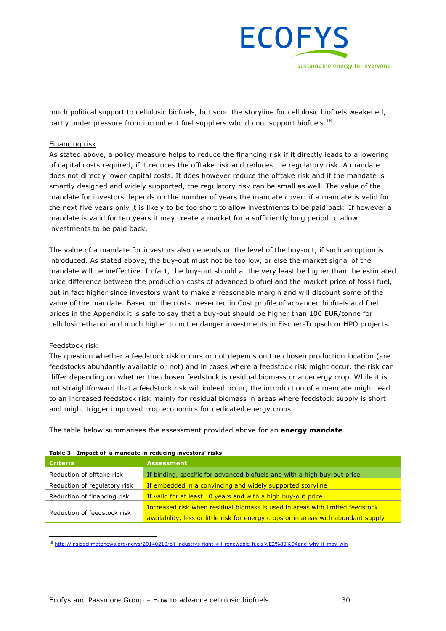

much political support to cellulosic biofuels, but soon the storyline for cellulosic biofuels weakened, partly under pressure from incumbent fuel suppliers who do not support biofuels.<sup>18</sup>

#### Financing risk

As stated above, a policy measure helps to reduce the financing risk if it directly leads to a lowering of capital costs required, if it reduces the offtake risk and reduces the regulatory risk. A mandate does not directly lower capital costs. It does however reduce the offtake risk and if the mandate is smartly designed and widely supported, the regulatory risk can be small as well. The value of the mandate for investors depends on the number of years the mandate cover: if a mandate is valid for the next five years only it is likely to be too short to allow investments to be paid back. If however a mandate is valid for ten years it may create a market for a sufficiently long period to allow investments to be paid back.

The value of a mandate for investors also depends on the level of the buy-out, if such an option is introduced. As stated above, the buy-out must not be too low, or else the market signal of the mandate will be ineffective. In fact, the buy-out should at the very least be higher than the estimated price difference between the production costs of advanced biofuel and the market price of fossil fuel, but in fact higher since investors want to make a reasonable margin and will discount some of the value of the mandate. Based on the costs presented in Cost profile of advanced biofuels and fuel prices in the Appendix it is safe to say that a buy-out should be higher than 100 EUR/tonne for cellulosic ethanol and much higher to not endanger investments in Fischer-Tropsch or HPO projects.

#### Feedstock risk

The question whether a feedstock risk occurs or not depends on the chosen production location (are feedstocks abundantly available or not) and in cases where a feedstock risk might occur, the risk can differ depending on whether the chosen feedstock is residual biomass or an energy crop. While it is not straightforward that a feedstock risk will indeed occur, the introduction of a mandate might lead to an increased feedstock risk mainly for residual biomass in areas where feedstock supply is short and might trigger improved crop economics for dedicated energy crops.

The table below summarises the assessment provided above for an **energy mandate**.

| <b>Criteria</b>              | <b>Assessment</b>                                                                   |  |  |  |  |
|------------------------------|-------------------------------------------------------------------------------------|--|--|--|--|
| Reduction of offtake risk    | If binding, specific for advanced biofuels and with a high buy-out price            |  |  |  |  |
| Reduction of regulatory risk | If embedded in a convincing and widely supported storyline                          |  |  |  |  |
| Reduction of financing risk  | If valid for at least 10 years and with a high buy-out price                        |  |  |  |  |
|                              | Increased risk when residual biomass is used in areas with limited feedstock        |  |  |  |  |
| Reduction of feedstock risk  | availability, less or little risk for energy crops or in areas with abundant supply |  |  |  |  |

#### **Table 3 - Impact of a mandate in reducing investors' risks**

18 http://insideclimatenews.org/news/20140210/oil-industrys-fight-kill-renewable-fuels%E2%80%94and-why-it-may-win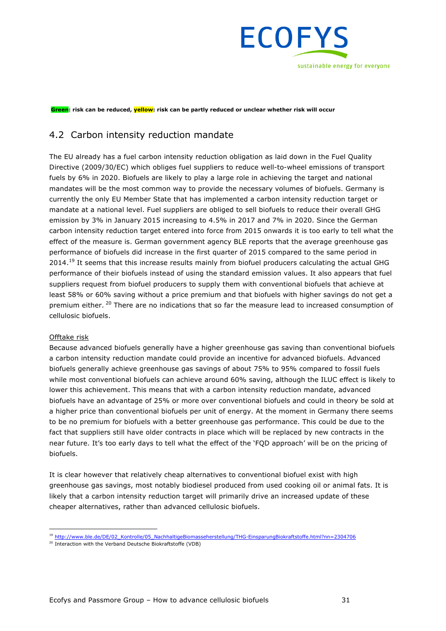

**Green: risk can be reduced, yellow: risk can be partly reduced or unclear whether risk will occur**

### 4.2 Carbon intensity reduction mandate

The EU already has a fuel carbon intensity reduction obligation as laid down in the Fuel Quality Directive (2009/30/EC) which obliges fuel suppliers to reduce well-to-wheel emissions of transport fuels by 6% in 2020. Biofuels are likely to play a large role in achieving the target and national mandates will be the most common way to provide the necessary volumes of biofuels. Germany is currently the only EU Member State that has implemented a carbon intensity reduction target or mandate at a national level. Fuel suppliers are obliged to sell biofuels to reduce their overall GHG emission by 3% in January 2015 increasing to 4.5% in 2017 and 7% in 2020. Since the German carbon intensity reduction target entered into force from 2015 onwards it is too early to tell what the effect of the measure is. German government agency BLE reports that the average greenhouse gas performance of biofuels did increase in the first quarter of 2015 compared to the same period in  $2014.<sup>19</sup>$  It seems that this increase results mainly from biofuel producers calculating the actual GHG performance of their biofuels instead of using the standard emission values. It also appears that fuel suppliers request from biofuel producers to supply them with conventional biofuels that achieve at least 58% or 60% saving without a price premium and that biofuels with higher savings do not get a premium either. <sup>20</sup> There are no indications that so far the measure lead to increased consumption of cellulosic biofuels.

#### Offtake risk

Because advanced biofuels generally have a higher greenhouse gas saving than conventional biofuels a carbon intensity reduction mandate could provide an incentive for advanced biofuels. Advanced biofuels generally achieve greenhouse gas savings of about 75% to 95% compared to fossil fuels while most conventional biofuels can achieve around 60% saving, although the ILUC effect is likely to lower this achievement. This means that with a carbon intensity reduction mandate, advanced biofuels have an advantage of 25% or more over conventional biofuels and could in theory be sold at a higher price than conventional biofuels per unit of energy. At the moment in Germany there seems to be no premium for biofuels with a better greenhouse gas performance. This could be due to the fact that suppliers still have older contracts in place which will be replaced by new contracts in the near future. It's too early days to tell what the effect of the 'FQD approach' will be on the pricing of biofuels.

It is clear however that relatively cheap alternatives to conventional biofuel exist with high greenhouse gas savings, most notably biodiesel produced from used cooking oil or animal fats. It is likely that a carbon intensity reduction target will primarily drive an increased update of these cheaper alternatives, rather than advanced cellulosic biofuels.

 <sup>19</sup> http://www.ble.de/DE/02\_Kontrolle/05\_NachhaltigeBiomasseherstellung/THG-EinsparungBiokraftstoffe.html?nn=2304706

<sup>&</sup>lt;sup>20</sup> Interaction with the Verband Deutsche Biokraftstoffe (VDB)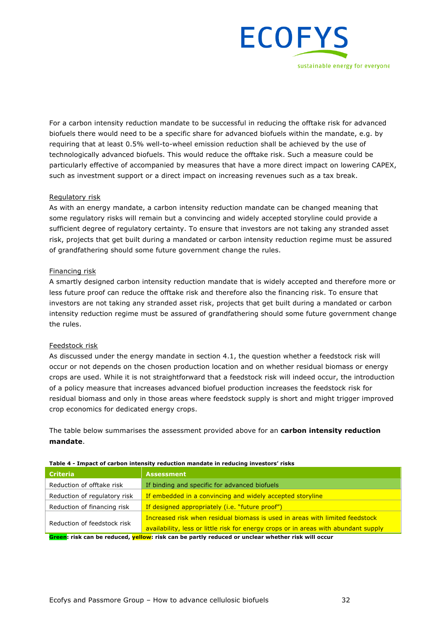

For a carbon intensity reduction mandate to be successful in reducing the offtake risk for advanced biofuels there would need to be a specific share for advanced biofuels within the mandate, e.g. by requiring that at least 0.5% well-to-wheel emission reduction shall be achieved by the use of technologically advanced biofuels. This would reduce the offtake risk. Such a measure could be particularly effective of accompanied by measures that have a more direct impact on lowering CAPEX, such as investment support or a direct impact on increasing revenues such as a tax break.

#### Regulatory risk

As with an energy mandate, a carbon intensity reduction mandate can be changed meaning that some regulatory risks will remain but a convincing and widely accepted storyline could provide a sufficient degree of regulatory certainty. To ensure that investors are not taking any stranded asset risk, projects that get built during a mandated or carbon intensity reduction regime must be assured of grandfathering should some future government change the rules.

#### Financing risk

A smartly designed carbon intensity reduction mandate that is widely accepted and therefore more or less future proof can reduce the offtake risk and therefore also the financing risk. To ensure that investors are not taking any stranded asset risk, projects that get built during a mandated or carbon intensity reduction regime must be assured of grandfathering should some future government change the rules.

#### Feedstock risk

As discussed under the energy mandate in section 4.1, the question whether a feedstock risk will occur or not depends on the chosen production location and on whether residual biomass or energy crops are used. While it is not straightforward that a feedstock risk will indeed occur, the introduction of a policy measure that increases advanced biofuel production increases the feedstock risk for residual biomass and only in those areas where feedstock supply is short and might trigger improved crop economics for dedicated energy crops.

The table below summarises the assessment provided above for an **carbon intensity reduction mandate**.

| <b>Criteria</b>              | <b>Assessment</b>                                                                                                                                                   |
|------------------------------|---------------------------------------------------------------------------------------------------------------------------------------------------------------------|
| Reduction of offtake risk    | If binding and specific for advanced biofuels                                                                                                                       |
| Reduction of regulatory risk | If embedded in a convincing and widely accepted storyline                                                                                                           |
| Reduction of financing risk  | If designed appropriately ( <i>i.e.</i> "future proof")                                                                                                             |
| Reduction of feedstock risk  | Increased risk when residual biomass is used in areas with limited feedstock<br>availability, less or little risk for energy crops or in areas with abundant supply |
|                              | <b>A</b> second which can be contributed t <mark>hall con</mark> tributed to a second condition of a consistence that the official to a second                      |

#### **Table 4 - Impact of carbon intensity reduction mandate in reducing investors' risks**

**Green: risk can be reduced, yellow: risk can be partly reduced or unclear whether risk will occur**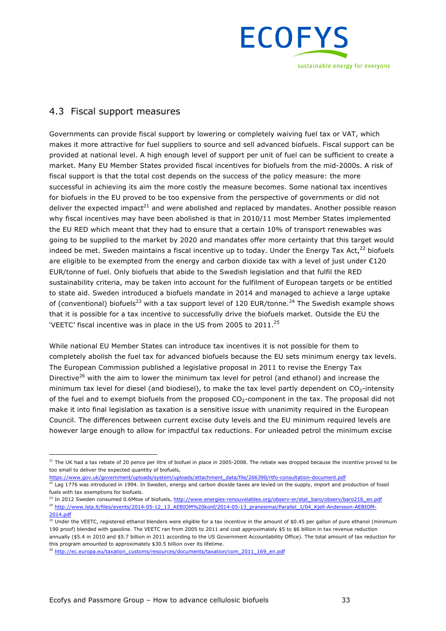

## 4.3 Fiscal support measures

Governments can provide fiscal support by lowering or completely waiving fuel tax or VAT, which makes it more attractive for fuel suppliers to source and sell advanced biofuels. Fiscal support can be provided at national level. A high enough level of support per unit of fuel can be sufficient to create a market. Many EU Member States provided fiscal incentives for biofuels from the mid-2000s. A risk of fiscal support is that the total cost depends on the success of the policy measure: the more successful in achieving its aim the more costly the measure becomes. Some national tax incentives for biofuels in the EU proved to be too expensive from the perspective of governments or did not deliver the expected impact<sup>21</sup> and were abolished and replaced by mandates. Another possible reason why fiscal incentives may have been abolished is that in 2010/11 most Member States implemented the EU RED which meant that they had to ensure that a certain 10% of transport renewables was going to be supplied to the market by 2020 and mandates offer more certainty that this target would indeed be met. Sweden maintains a fiscal incentive up to today. Under the Energy Tax Act, $^{22}$  biofuels are eligible to be exempted from the energy and carbon dioxide tax with a level of just under  $E120$ EUR/tonne of fuel. Only biofuels that abide to the Swedish legislation and that fulfil the RED sustainability criteria, may be taken into account for the fulfilment of European targets or be entitled to state aid. Sweden introduced a biofuels mandate in 2014 and managed to achieve a large uptake of (conventional) biofuels<sup>23</sup> with a tax support level of 120 EUR/tonne.<sup>24</sup> The Swedish example shows that it is possible for a tax incentive to successfully drive the biofuels market. Outside the EU the 'VEETC' fiscal incentive was in place in the US from 2005 to 2011.<sup>25</sup>

While national EU Member States can introduce tax incentives it is not possible for them to completely abolish the fuel tax for advanced biofuels because the EU sets minimum energy tax levels. The European Commission published a legislative proposal in 2011 to revise the Energy Tax Directive<sup>26</sup> with the aim to lower the minimum tax level for petrol (and ethanol) and increase the minimum tax level for diesel (and biodiesel), to make the tax level partly dependent on  $CO<sub>2</sub>$ -intensity of the fuel and to exempt biofuels from the proposed CO2-component in the tax. The proposal did not make it into final legislation as taxation is a sensitive issue with unanimity required in the European Council. The differences between current excise duty levels and the EU minimum required levels are however large enough to allow for impactful tax reductions. For unleaded petrol the minimum excise

https://www.gov.uk/government/uploads/system/uploads/attachment\_data/file/266390/rtfo-consultation-document.pdf

<sup>23</sup> In 2012 Sweden consumed 0.6Mtoe of biofuels, http://www.energies-renouvelables.org/observ-er/stat\_baro/observ/baro216\_en.pdf <sup>24</sup> http://www.lsta.lt/files/events/2014-05-12\_13\_AEBIOM%20konf/2014-05-13\_pranesimai/Parallel\_1/04\_Kjell-Andersson-AEBIOM-2014.pdf

<sup>&</sup>lt;sup>21</sup> The UK had a tax rebate of 20 pence per litre of biofuel in place in 2005-2008. The rebate was dropped because the incentive proved to be too small to deliver the expected quantity of biofuels,

 $^{22}$  Lag 1776 was introduced in 1994. In Sweden, energy and carbon dioxide taxes are levied on the supply, import and production of fossil fuels with tax exemptions for biofuels.

 $^{25}$  Under the VEETC, registered ethanol blenders were eligible for a tax incentive in the amount of \$0.45 per gallon of pure ethanol (minimum 190 proof) blended with gasoline. The VEETC ran from 2005 to 2011 and cost approximately \$5 to \$6 billion in tax revenue reduction annually (\$5.4 in 2010 and \$5.7 billion in 2011 according to the US Government Accountability Office). The total amount of tax reduction for this program amounted to approximately \$30.5 billion over its lifetime.

<sup>&</sup>lt;sup>26</sup> http://ec.europa.eu/taxation\_customs/resources/documents/taxation/com\_2011\_169\_en.pdf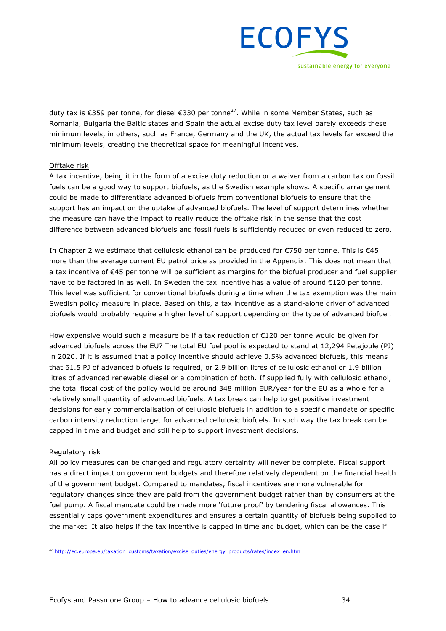

duty tax is €359 per tonne, for diesel €330 per tonne27. While in some Member States, such as Romania, Bulgaria the Baltic states and Spain the actual excise duty tax level barely exceeds these minimum levels, in others, such as France, Germany and the UK, the actual tax levels far exceed the minimum levels, creating the theoretical space for meaningful incentives.

#### Offtake risk

A tax incentive, being it in the form of a excise duty reduction or a waiver from a carbon tax on fossil fuels can be a good way to support biofuels, as the Swedish example shows. A specific arrangement could be made to differentiate advanced biofuels from conventional biofuels to ensure that the support has an impact on the uptake of advanced biofuels. The level of support determines whether the measure can have the impact to really reduce the offtake risk in the sense that the cost difference between advanced biofuels and fossil fuels is sufficiently reduced or even reduced to zero.

In Chapter 2 we estimate that cellulosic ethanol can be produced for €750 per tonne. This is €45 more than the average current EU petrol price as provided in the Appendix. This does not mean that a tax incentive of €45 per tonne will be sufficient as margins for the biofuel producer and fuel supplier have to be factored in as well. In Sweden the tax incentive has a value of around €120 per tonne. This level was sufficient for conventional biofuels during a time when the tax exemption was the main Swedish policy measure in place. Based on this, a tax incentive as a stand-alone driver of advanced biofuels would probably require a higher level of support depending on the type of advanced biofuel.

How expensive would such a measure be if a tax reduction of €120 per tonne would be given for advanced biofuels across the EU? The total EU fuel pool is expected to stand at 12,294 Petajoule (PJ) in 2020. If it is assumed that a policy incentive should achieve 0.5% advanced biofuels, this means that 61.5 PJ of advanced biofuels is required, or 2.9 billion litres of cellulosic ethanol or 1.9 billion litres of advanced renewable diesel or a combination of both. If supplied fully with cellulosic ethanol, the total fiscal cost of the policy would be around 348 million EUR/year for the EU as a whole for a relatively small quantity of advanced biofuels. A tax break can help to get positive investment decisions for early commercialisation of cellulosic biofuels in addition to a specific mandate or specific carbon intensity reduction target for advanced cellulosic biofuels. In such way the tax break can be capped in time and budget and still help to support investment decisions.

#### Regulatory risk

All policy measures can be changed and regulatory certainty will never be complete. Fiscal support has a direct impact on government budgets and therefore relatively dependent on the financial health of the government budget. Compared to mandates, fiscal incentives are more vulnerable for regulatory changes since they are paid from the government budget rather than by consumers at the fuel pump. A fiscal mandate could be made more 'future proof' by tendering fiscal allowances. This essentially caps government expenditures and ensures a certain quantity of biofuels being supplied to the market. It also helps if the tax incentive is capped in time and budget, which can be the case if

 <sup>27</sup> http://ec.europa.eu/taxation\_customs/taxation/excise\_duties/energy\_products/rates/index\_en.htm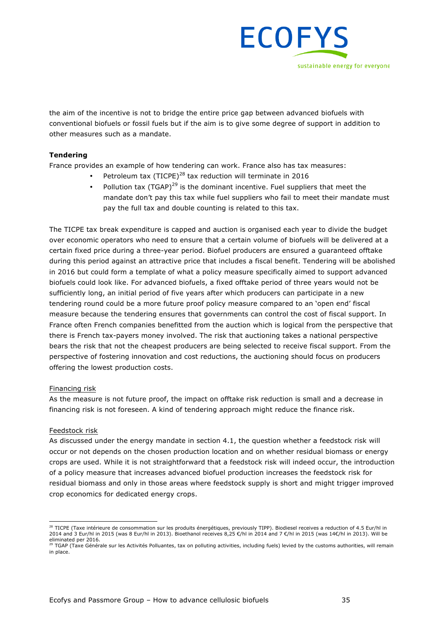

the aim of the incentive is not to bridge the entire price gap between advanced biofuels with conventional biofuels or fossil fuels but if the aim is to give some degree of support in addition to other measures such as a mandate.

#### **Tendering**

France provides an example of how tendering can work. France also has tax measures:

- Petroleum tax (TICPE)<sup>28</sup> tax reduction will terminate in 2016
- Pollution tax (TGAP)<sup>29</sup> is the dominant incentive. Fuel suppliers that meet the mandate don't pay this tax while fuel suppliers who fail to meet their mandate must pay the full tax and double counting is related to this tax.

The TICPE tax break expenditure is capped and auction is organised each year to divide the budget over economic operators who need to ensure that a certain volume of biofuels will be delivered at a certain fixed price during a three-year period. Biofuel producers are ensured a guaranteed offtake during this period against an attractive price that includes a fiscal benefit. Tendering will be abolished in 2016 but could form a template of what a policy measure specifically aimed to support advanced biofuels could look like. For advanced biofuels, a fixed offtake period of three years would not be sufficiently long, an initial period of five years after which producers can participate in a new tendering round could be a more future proof policy measure compared to an 'open end' fiscal measure because the tendering ensures that governments can control the cost of fiscal support. In France often French companies benefitted from the auction which is logical from the perspective that there is French tax-payers money involved. The risk that auctioning takes a national perspective bears the risk that not the cheapest producers are being selected to receive fiscal support. From the perspective of fostering innovation and cost reductions, the auctioning should focus on producers offering the lowest production costs.

#### Financing risk

As the measure is not future proof, the impact on offtake risk reduction is small and a decrease in financing risk is not foreseen. A kind of tendering approach might reduce the finance risk.

#### Feedstock risk

As discussed under the energy mandate in section 4.1, the question whether a feedstock risk will occur or not depends on the chosen production location and on whether residual biomass or energy crops are used. While it is not straightforward that a feedstock risk will indeed occur, the introduction of a policy measure that increases advanced biofuel production increases the feedstock risk for residual biomass and only in those areas where feedstock supply is short and might trigger improved crop economics for dedicated energy crops.

<sup>&</sup>lt;sup>28</sup> TICPE (Taxe intérieure de consommation sur les produits énergétiques, previously TIPP). Biodiesel receives a reduction of 4.5 Eur/hl in 2014 and 3 Eur/hl in 2015 (was 8 Eur/hl in 2013). Bioethanol receives 8,25 €/hl in 2014 and 7 €/hl in 2015 (was 14€/hl in 2013). Will be eliminated per 2016.<br><sup>29</sup> TGAP (Taxe Générale sur les Activités Polluantes, tax on polluting activities, including fuels) levied by the customs authorities, will remain

in place.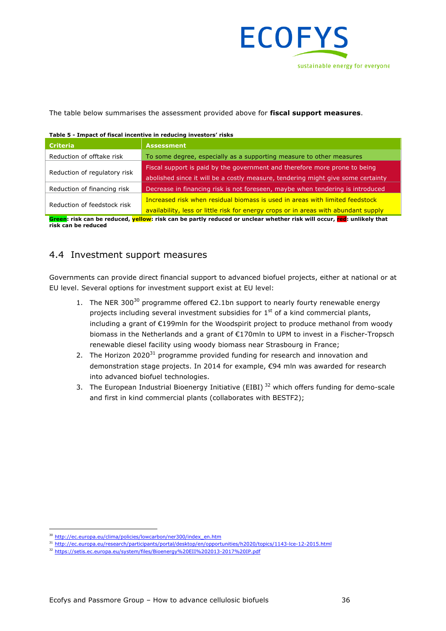

The table below summarises the assessment provided above for **fiscal support measures**.

| Table 5 - Impact of fiscal incentive in reducing investors' risks |                                                                                                                                                                     |  |  |  |  |
|-------------------------------------------------------------------|---------------------------------------------------------------------------------------------------------------------------------------------------------------------|--|--|--|--|
| <b>Criteria</b>                                                   | <b>Assessment</b>                                                                                                                                                   |  |  |  |  |
| Reduction of offtake risk                                         | To some degree, especially as a supporting measure to other measures                                                                                                |  |  |  |  |
| Reduction of regulatory risk                                      | Fiscal support is paid by the government and therefore more prone to being<br>abolished since it will be a costly measure, tendering might give some certainty      |  |  |  |  |
| Reduction of financing risk                                       | Decrease in financing risk is not foreseen, maybe when tendering is introduced                                                                                      |  |  |  |  |
| Reduction of feedstock risk                                       | Increased risk when residual biomass is used in areas with limited feedstock<br>availability, less or little risk for energy crops or in areas with abundant supply |  |  |  |  |

#### **Table 5 - Impact of fiscal incentive in reducing investors' risks**

**Green: risk can be reduced, yellow: risk can be partly reduced or unclear whether risk will occur, red: unlikely that risk can be reduced**

### 4.4 Investment support measures

Governments can provide direct financial support to advanced biofuel projects, either at national or at EU level. Several options for investment support exist at EU level:

- 1. The NER 300<sup>30</sup> programme offered €2.1bn support to nearly fourty renewable energy projects including several investment subsidies for  $1<sup>st</sup>$  of a kind commercial plants, including a grant of €199mln for the Woodspirit project to produce methanol from woody biomass in the Netherlands and a grant of €170mln to UPM to invest in a Fischer-Tropsch renewable diesel facility using woody biomass near Strasbourg in France;
- 2. The Horizon 2020 $31$  programme provided funding for research and innovation and demonstration stage projects. In 2014 for example, €94 mln was awarded for research into advanced biofuel technologies.
- 3. The European Industrial Bioenergy Initiative (EIBI)<sup>32</sup> which offers funding for demo-scale and first in kind commercial plants (collaborates with BESTF2);

 <sup>30</sup> http://ec.europa.eu/clima/policies/lowcarbon/ner300/index\_en.htm

<sup>31</sup> http://ec.europa.eu/research/participants/portal/desktop/en/opportunities/h2020/topics/1143-lce-12-2015.html

<sup>32</sup> https://setis.ec.europa.eu/system/files/Bioenergy%20EII%202013-2017%20IP.pdf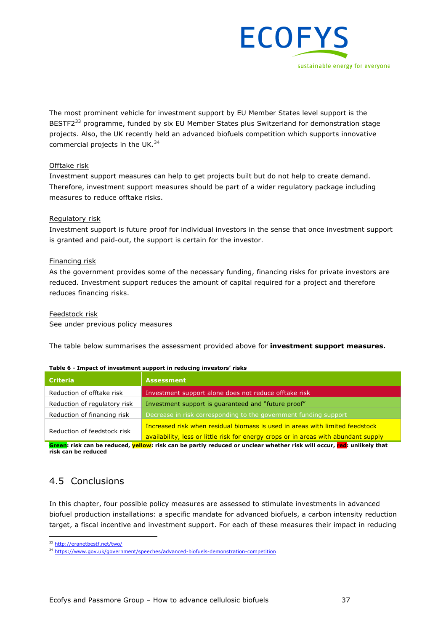

The most prominent vehicle for investment support by EU Member States level support is the BESTF2<sup>33</sup> programme, funded by six EU Member States plus Switzerland for demonstration stage projects. Also, the UK recently held an advanced biofuels competition which supports innovative commercial projects in the UK.<sup>34</sup>

#### Offtake risk

Investment support measures can help to get projects built but do not help to create demand. Therefore, investment support measures should be part of a wider regulatory package including measures to reduce offtake risks.

#### Regulatory risk

Investment support is future proof for individual investors in the sense that once investment support is granted and paid-out, the support is certain for the investor.

#### Financing risk

As the government provides some of the necessary funding, financing risks for private investors are reduced. Investment support reduces the amount of capital required for a project and therefore reduces financing risks.

Feedstock risk

See under previous policy measures

The table below summarises the assessment provided above for **investment support measures.**

| <b>Criteria</b>              | <b>Assessment</b>                                                                   |
|------------------------------|-------------------------------------------------------------------------------------|
| Reduction of offtake risk    | Investment support alone does not reduce offtake risk                               |
| Reduction of regulatory risk | Investment support is quaranteed and "future proof"                                 |
| Reduction of financing risk  | Decrease in risk corresponding to the government funding support                    |
|                              | Increased risk when residual biomass is used in areas with limited feedstock        |
| Reduction of feedstock risk  | availability, less or little risk for energy crops or in areas with abundant supply |

#### **Table 6 - Impact of investment support in reducing investors' risks**

**Green: risk can be reduced, yellow: risk can be partly reduced or unclear whether risk will occur, red: unlikely that risk can be reduced**

## 4.5 Conclusions

In this chapter, four possible policy measures are assessed to stimulate investments in advanced biofuel production installations: a specific mandate for advanced biofuels, a carbon intensity reduction target, a fiscal incentive and investment support. For each of these measures their impact in reducing

<sup>33</sup> http://eranetbestf.net/two/

<sup>34</sup> https://www.gov.uk/government/speeches/advanced-biofuels-demonstration-competition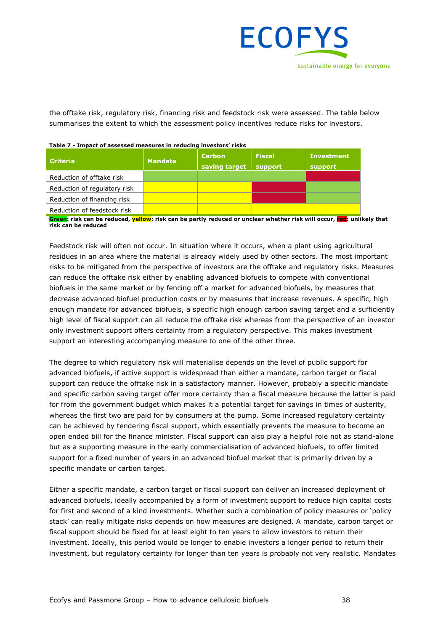

the offtake risk, regulatory risk, financing risk and feedstock risk were assessed. The table below summarises the extent to which the assessment policy incentives reduce risks for investors.

| <b>Criteria</b>              | <b>Mandate</b> | <b>Carbon</b><br>saving target | <b>Fiscal</b><br>support | <b>Investment</b><br>support |
|------------------------------|----------------|--------------------------------|--------------------------|------------------------------|
| Reduction of offtake risk    |                |                                |                          |                              |
| Reduction of regulatory risk |                |                                |                          |                              |
| Reduction of financing risk  |                |                                |                          |                              |
| Reduction of feedstock risk  |                |                                |                          |                              |

#### **Table 7 - Impact of assessed measures in reducing investors' risks**

**Green: risk can be reduced, yellow: risk can be partly reduced or unclear whether risk will occur, red: unlikely that risk can be reduced**

Feedstock risk will often not occur. In situation where it occurs, when a plant using agricultural residues in an area where the material is already widely used by other sectors. The most important risks to be mitigated from the perspective of investors are the offtake and regulatory risks. Measures can reduce the offtake risk either by enabling advanced biofuels to compete with conventional biofuels in the same market or by fencing off a market for advanced biofuels, by measures that decrease advanced biofuel production costs or by measures that increase revenues. A specific, high enough mandate for advanced biofuels, a specific high enough carbon saving target and a sufficiently high level of fiscal support can all reduce the offtake risk whereas from the perspective of an investor only investment support offers certainty from a regulatory perspective. This makes investment support an interesting accompanying measure to one of the other three.

The degree to which regulatory risk will materialise depends on the level of public support for advanced biofuels, if active support is widespread than either a mandate, carbon target or fiscal support can reduce the offtake risk in a satisfactory manner. However, probably a specific mandate and specific carbon saving target offer more certainty than a fiscal measure because the latter is paid for from the government budget which makes it a potential target for savings in times of austerity, whereas the first two are paid for by consumers at the pump. Some increased regulatory certainty can be achieved by tendering fiscal support, which essentially prevents the measure to become an open ended bill for the finance minister. Fiscal support can also play a helpful role not as stand-alone but as a supporting measure in the early commercialisation of advanced biofuels, to offer limited support for a fixed number of years in an advanced biofuel market that is primarily driven by a specific mandate or carbon target.

Either a specific mandate, a carbon target or fiscal support can deliver an increased deployment of advanced biofuels, ideally accompanied by a form of investment support to reduce high capital costs for first and second of a kind investments. Whether such a combination of policy measures or 'policy stack' can really mitigate risks depends on how measures are designed. A mandate, carbon target or fiscal support should be fixed for at least eight to ten years to allow investors to return their investment. Ideally, this period would be longer to enable investors a longer period to return their investment, but regulatory certainty for longer than ten years is probably not very realistic. Mandates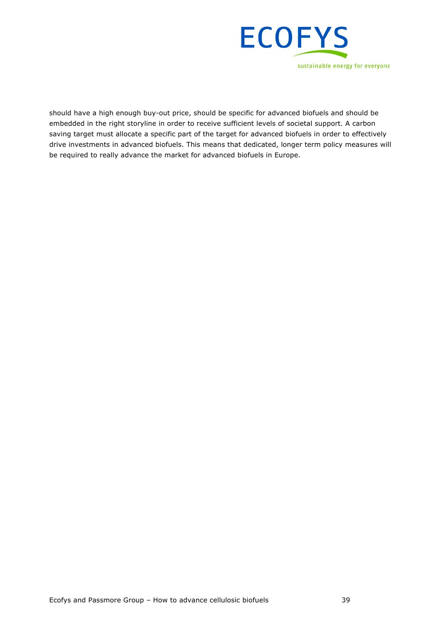

should have a high enough buy-out price, should be specific for advanced biofuels and should be embedded in the right storyline in order to receive sufficient levels of societal support. A carbon saving target must allocate a specific part of the target for advanced biofuels in order to effectively drive investments in advanced biofuels. This means that dedicated, longer term policy measures will be required to really advance the market for advanced biofuels in Europe.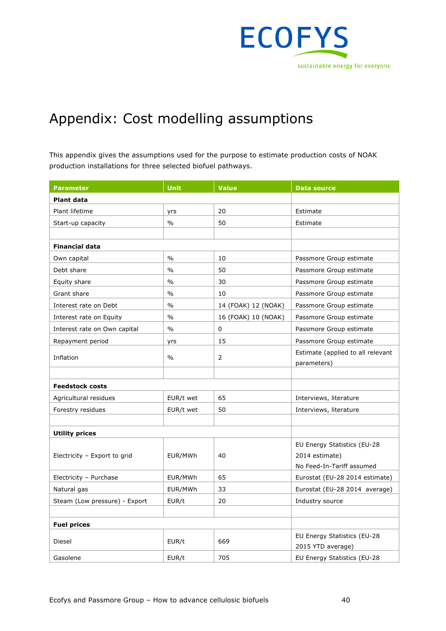

## Appendix: Cost modelling assumptions

This appendix gives the assumptions used for the purpose to estimate production costs of NOAK production installations for three selected biofuel pathways.

| <b>Parameter</b>              | Unit          | <b>Value</b>        | <b>Data source</b>                |  |  |  |
|-------------------------------|---------------|---------------------|-----------------------------------|--|--|--|
| <b>Plant data</b>             |               |                     |                                   |  |  |  |
| Plant lifetime                | yrs           | 20                  | Estimate                          |  |  |  |
| Start-up capacity             | $\frac{0}{0}$ | 50                  | Estimate                          |  |  |  |
|                               |               |                     |                                   |  |  |  |
| <b>Financial data</b>         |               |                     |                                   |  |  |  |
| Own capital                   | $\frac{0}{0}$ | 10                  | Passmore Group estimate           |  |  |  |
| Debt share                    | $\frac{0}{0}$ | 50                  | Passmore Group estimate           |  |  |  |
| Equity share                  | $\frac{0}{0}$ | 30                  | Passmore Group estimate           |  |  |  |
| Grant share                   | $\frac{0}{0}$ | 10                  | Passmore Group estimate           |  |  |  |
| Interest rate on Debt         | $\%$          | 14 (FOAK) 12 (NOAK) | Passmore Group estimate           |  |  |  |
| Interest rate on Equity       | $\frac{0}{0}$ | 16 (FOAK) 10 (NOAK) | Passmore Group estimate           |  |  |  |
| Interest rate on Own capital  | $\frac{0}{0}$ | 0                   | Passmore Group estimate           |  |  |  |
| Repayment period              | yrs           | 15                  | Passmore Group estimate           |  |  |  |
|                               |               | $\overline{2}$      | Estimate (applied to all relevant |  |  |  |
| Inflation                     | $\frac{0}{0}$ |                     | parameters)                       |  |  |  |
|                               |               |                     |                                   |  |  |  |
| <b>Feedstock costs</b>        |               |                     |                                   |  |  |  |
| Agricultural residues         | EUR/t wet     | 65                  | Interviews, literature            |  |  |  |
| Forestry residues             | EUR/t wet     | 50                  | Interviews, literature            |  |  |  |
|                               |               |                     |                                   |  |  |  |
| <b>Utility prices</b>         |               |                     |                                   |  |  |  |
| Electricity - Export to grid  | EUR/MWh       | 40                  | EU Energy Statistics (EU-28       |  |  |  |
|                               |               |                     | 2014 estimate)                    |  |  |  |
|                               |               |                     | No Feed-In-Tariff assumed         |  |  |  |
| Electricity - Purchase        | EUR/MWh       | 65                  | Eurostat (EU-28 2014 estimate)    |  |  |  |
| Natural gas                   | EUR/MWh       | 33                  | Eurostat (EU-28 2014 average)     |  |  |  |
| Steam (Low pressure) - Export | EUR/t         | 20                  | Industry source                   |  |  |  |
|                               |               |                     |                                   |  |  |  |
| <b>Fuel prices</b>            |               |                     |                                   |  |  |  |
| Diesel                        | EUR/t         | 669                 | EU Energy Statistics (EU-28       |  |  |  |
|                               |               |                     | 2015 YTD average)                 |  |  |  |
| Gasolene                      | EUR/t         | 705                 | EU Energy Statistics (EU-28       |  |  |  |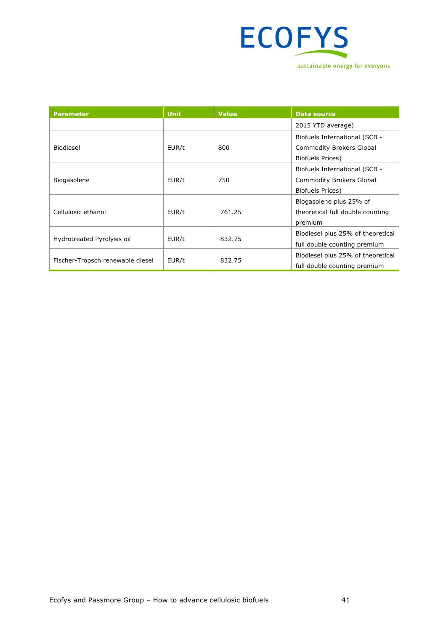

| <b>Parameter</b>                 | <b>Unit</b> | <b>Value</b> | Data source                       |
|----------------------------------|-------------|--------------|-----------------------------------|
|                                  |             |              | 2015 YTD average)                 |
| Biodiesel                        | EUR/t       | 800          | Biofuels International (SCB -     |
|                                  |             |              | <b>Commodity Brokers Global</b>   |
|                                  |             |              | <b>Biofuels Prices)</b>           |
| Biogasolene                      | EUR/t       | 750          | Biofuels International (SCB -     |
|                                  |             |              | <b>Commodity Brokers Global</b>   |
|                                  |             |              | Biofuels Prices)                  |
| Cellulosic ethanol               | EUR/t       | 761.25       | Biogasolene plus 25% of           |
|                                  |             |              | theoretical full double counting  |
|                                  |             |              | premium                           |
| Hydrotreated Pyrolysis oil       | EUR/t       | 832.75       | Biodiesel plus 25% of theoretical |
|                                  |             |              | full double counting premium      |
| Fischer-Tropsch renewable diesel | EUR/t       | 832.75       | Biodiesel plus 25% of theoretical |
|                                  |             |              | full double counting premium      |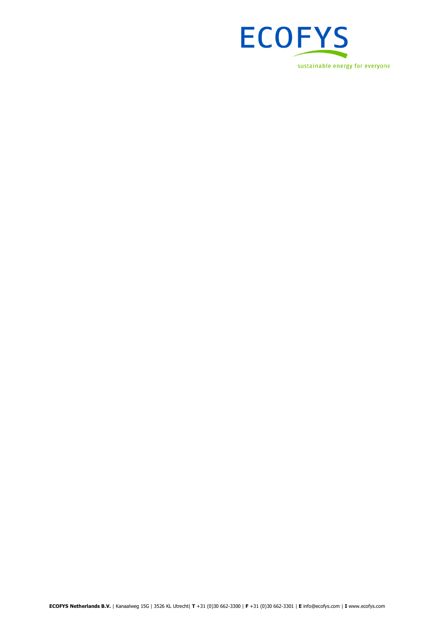